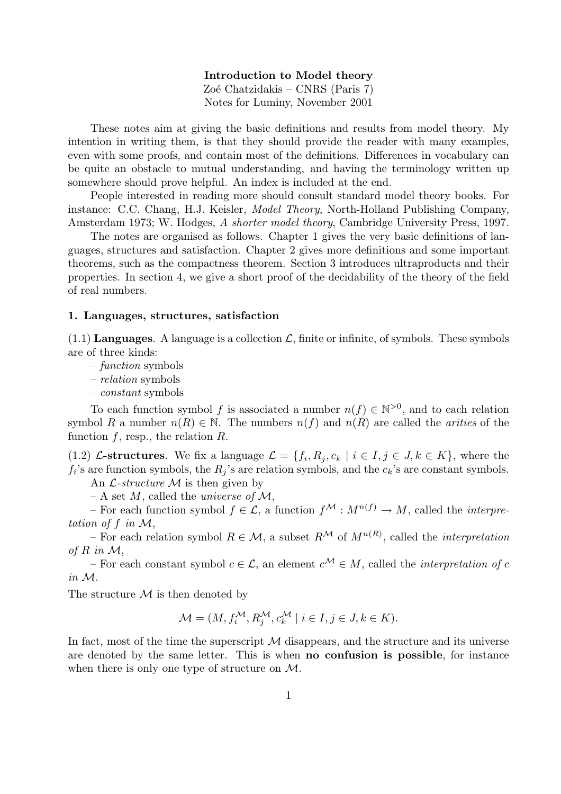Introduction to Model theory Zoé Chatzidakis – CNRS (Paris 7) Notes for Luminy, November 2001

These notes aim at giving the basic definitions and results from model theory. My intention in writing them, is that they should provide the reader with many examples, even with some proofs, and contain most of the definitions. Differences in vocabulary can be quite an obstacle to mutual understanding, and having the terminology written up somewhere should prove helpful. An index is included at the end.

People interested in reading more should consult standard model theory books. For instance: C.C. Chang, H.J. Keisler, Model Theory, North-Holland Publishing Company, Amsterdam 1973; W. Hodges, A shorter model theory, Cambridge University Press, 1997.

The notes are organised as follows. Chapter 1 gives the very basic definitions of languages, structures and satisfaction. Chapter 2 gives more definitions and some important theorems, such as the compactness theorem. Section 3 introduces ultraproducts and their properties. In section 4, we give a short proof of the decidability of the theory of the field of real numbers.

## 1. Languages, structures, satisfaction

 $(1.1)$  Languages. A language is a collection  $\mathcal{L}$ , finite or infinite, of symbols. These symbols are of three kinds:

- function symbols
- relation symbols
- constant symbols

To each function symbol f is associated a number  $n(f) \in \mathbb{N}^{>0}$ , and to each relation symbol R a number  $n(R) \in \mathbb{N}$ . The numbers  $n(f)$  and  $n(R)$  are called the *arities* of the function  $f$ , resp., the relation  $R$ .

(1.2) L-structures. We fix a language  $\mathcal{L} = \{f_i, R_j, c_k \mid i \in I, j \in J, k \in K\}$ , where the  $f_i$ 's are function symbols, the  $R_j$ 's are relation symbols, and the  $c_k$ 's are constant symbols.

An  $\mathcal{L}\text{-}structure \mathcal{M}$  is then given by

– A set M, called the universe of  $\mathcal{M}$ ,

– For each function symbol  $f \in \mathcal{L}$ , a function  $f^{\mathcal{M}} : M^{n(f)} \to M$ , called the *interpre*tation of f in  $\mathcal{M}$ ,

– For each relation symbol  $R \in \mathcal{M}$ , a subset  $R^{\mathcal{M}}$  of  $M^{n(R)}$ , called the *interpretation* of R in  $\mathcal{M}$ ,

– For each constant symbol  $c \in \mathcal{L}$ , an element  $c^{\mathcal{M}} \in M$ , called the *interpretation of c* in M.

The structure  $\mathcal M$  is then denoted by

$$
\mathcal{M} = (M, f_i^{\mathcal{M}}, R_j^{\mathcal{M}}, c_k^{\mathcal{M}} \mid i \in I, j \in J, k \in K).
$$

In fact, most of the time the superscript  $\mathcal M$  disappears, and the structure and its universe are denoted by the same letter. This is when no confusion is possible, for instance when there is only one type of structure on M.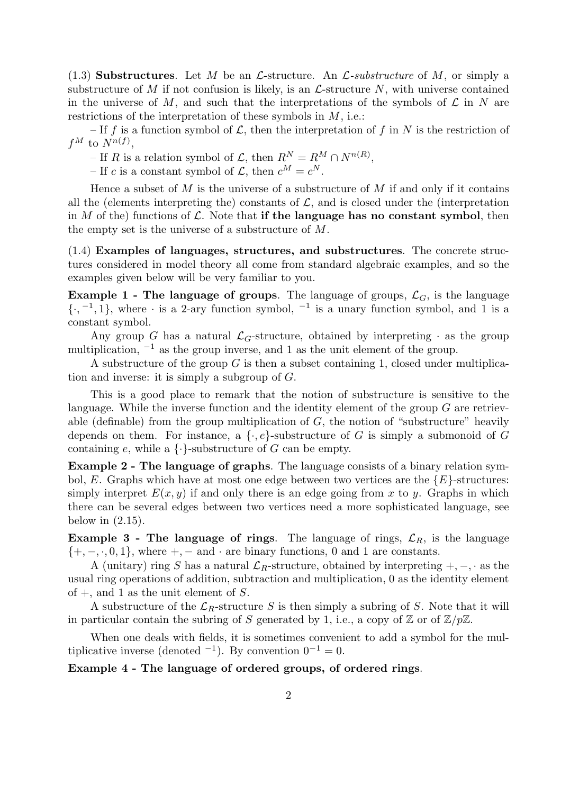(1.3) Substructures. Let M be an L-structure. An L-substructure of M, or simply a substructure of M if not confusion is likely, is an  $\mathcal{L}$ -structure N, with universe contained in the universe of M, and such that the interpretations of the symbols of  $\mathcal L$  in N are restrictions of the interpretation of these symbols in  $M$ , i.e.:

– If f is a function symbol of  $\mathcal{L}$ , then the interpretation of f in N is the restriction of  $f^M$  to  $N^{n(f)}$ ,

– If R is a relation symbol of  $\mathcal{L}$ , then  $R^N = R^M \cap N^{n(R)}$ ,

– If c is a constant symbol of  $\mathcal{L}$ , then  $c^M = c^N$ .

Hence a subset of  $M$  is the universe of a substructure of  $M$  if and only if it contains all the (elements interpreting the) constants of  $\mathcal{L}$ , and is closed under the (interpretation in M of the) functions of  $\mathcal L$ . Note that if the language has no constant symbol, then the empty set is the universe of a substructure of M.

(1.4) Examples of languages, structures, and substructures. The concrete structures considered in model theory all come from standard algebraic examples, and so the examples given below will be very familiar to you.

**Example 1 - The language of groups.** The language of groups,  $\mathcal{L}_G$ , is the language  $\{\cdot, ^{-1}, 1\}$ , where  $\cdot$  is a 2-ary function symbol,  $^{-1}$  is a unary function symbol, and 1 is a constant symbol.

Any group G has a natural  $\mathcal{L}_G$ -structure, obtained by interpreting  $\cdot$  as the group multiplication,  $^{-1}$  as the group inverse, and 1 as the unit element of the group.

A substructure of the group  $G$  is then a subset containing 1, closed under multiplication and inverse: it is simply a subgroup of G.

This is a good place to remark that the notion of substructure is sensitive to the language. While the inverse function and the identity element of the group  $G$  are retrievable (definable) from the group multiplication of  $G$ , the notion of "substructure" heavily depends on them. For instance, a  $\{ \cdot, e \}$ -substructure of G is simply a submonoid of G containing e, while a  $\{\cdot\}$ -substructure of G can be empty.

Example 2 - The language of graphs. The language consists of a binary relation symbol, E. Graphs which have at most one edge between two vertices are the  ${E}$ -structures: simply interpret  $E(x, y)$  if and only there is an edge going from x to y. Graphs in which there can be several edges between two vertices need a more sophisticated language, see below in  $(2.15)$ .

**Example 3 - The language of rings.** The language of rings,  $\mathcal{L}_R$ , is the language  $\{+, -, \cdot, 0, 1\}$ , where  $+, -$  and  $\cdot$  are binary functions, 0 and 1 are constants.

A (unitary) ring S has a natural  $\mathcal{L}_R$ -structure, obtained by interpreting +, –, · as the usual ring operations of addition, subtraction and multiplication, 0 as the identity element of  $+$ , and 1 as the unit element of S.

A substructure of the  $\mathcal{L}_R$ -structure S is then simply a subring of S. Note that it will in particular contain the subring of S generated by 1, i.e., a copy of  $\mathbb{Z}$  or of  $\mathbb{Z}/p\mathbb{Z}$ .

When one deals with fields, it is sometimes convenient to add a symbol for the multiplicative inverse (denoted  $^{-1}$ ). By convention  $0^{-1} = 0$ .

# Example 4 - The language of ordered groups, of ordered rings.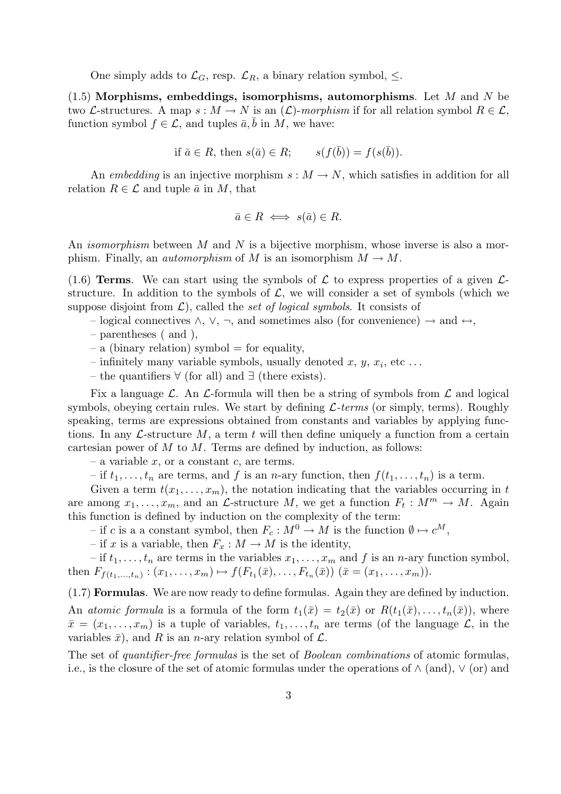One simply adds to  $\mathcal{L}_G$ , resp.  $\mathcal{L}_R$ , a binary relation symbol,  $\leq$ .

 $(1.5)$  Morphisms, embeddings, isomorphisms, automorphisms. Let M and N be two L-structures. A map  $s : M \to N$  is an  $(\mathcal{L})$ -morphism if for all relation symbol  $R \in \mathcal{L}$ , function symbol  $f \in \mathcal{L}$ , and tuples  $\bar{a}$ , b in M, we have:

$$
\text{if } \bar{a} \in R \text{, then } s(\bar{a}) \in R; \qquad s(f(\bar{b})) = f(s(\bar{b})).
$$

An embedding is an injective morphism  $s : M \to N$ , which satisfies in addition for all relation  $R \in \mathcal{L}$  and tuple  $\bar{a}$  in M, that

$$
\bar{a} \in R \iff s(\bar{a}) \in R.
$$

An *isomorphism* between M and N is a bijective morphism, whose inverse is also a morphism. Finally, an *automorphism* of M is an isomorphism  $M \to M$ .

(1.6) Terms. We can start using the symbols of  $\mathcal L$  to express properties of a given  $\mathcal L$ structure. In addition to the symbols of  $\mathcal{L}$ , we will consider a set of symbols (which we suppose disjoint from  $\mathcal{L}$ ), called the set of logical symbols. It consists of

– logical connectives  $\land$ ,  $\lor$ ,  $\neg$ , and sometimes also (for convenience)  $\rightarrow$  and  $\leftrightarrow$ ,

- parentheses ( and ),
- $-$  a (binary relation) symbol  $=$  for equality,
- $-$  infinitely many variable symbols, usually denoted  $x, y, x_i$ , etc...
- the quantifiers ∀ (for all) and ∃ (there exists).

Fix a language  $\mathcal{L}$ . An  $\mathcal{L}$ -formula will then be a string of symbols from  $\mathcal{L}$  and logical symbols, obeying certain rules. We start by defining  $\mathcal{L}$ -terms (or simply, terms). Roughly speaking, terms are expressions obtained from constants and variables by applying functions. In any  $\mathcal{L}\text{-structure }M$ , a term t will then define uniquely a function from a certain cartesian power of  $M$  to  $M$ . Terms are defined by induction, as follows:

– a variable  $x$ , or a constant  $c$ , are terms.

– if  $t_1, \ldots, t_n$  are terms, and f is an n-ary function, then  $f(t_1, \ldots, t_n)$  is a term.

Given a term  $t(x_1, \ldots, x_m)$ , the notation indicating that the variables occurring in t are among  $x_1, \ldots, x_m$ , and an  $\mathcal{L}$ -structure M, we get a function  $F_t : M^m \to M$ . Again this function is defined by induction on the complexity of the term:

– if c is a a constant symbol, then  $F_c : M^0 \to M$  is the function  $\emptyset \mapsto c^M$ ,

– if x is a variable, then  $F_x : M \to M$  is the identity,

– if  $t_1, \ldots, t_n$  are terms in the variables  $x_1, \ldots, x_m$  and f is an n-ary function symbol, then  $F_{f(t_1,...,t_n)} : (x_1,...,x_m) \mapsto f(F_{t_1}(\bar{x}),...,F_{t_n}(\bar{x})) \ (\bar{x} = (x_1,...,x_m)).$ 

(1.7) Formulas. We are now ready to define formulas. Again they are defined by induction. An atomic formula is a formula of the form  $t_1(\bar{x}) = t_2(\bar{x})$  or  $R(t_1(\bar{x}), \ldots, t_n(\bar{x}))$ , where  $\bar{x} = (x_1, \ldots, x_m)$  is a tuple of variables,  $t_1, \ldots, t_n$  are terms (of the language  $\mathcal{L}$ , in the variables  $\bar{x}$ ), and R is an n-ary relation symbol of  $\mathcal{L}$ .

The set of quantifier-free formulas is the set of Boolean combinations of atomic formulas, i.e., is the closure of the set of atomic formulas under the operations of  $\wedge$  (and),  $\vee$  (or) and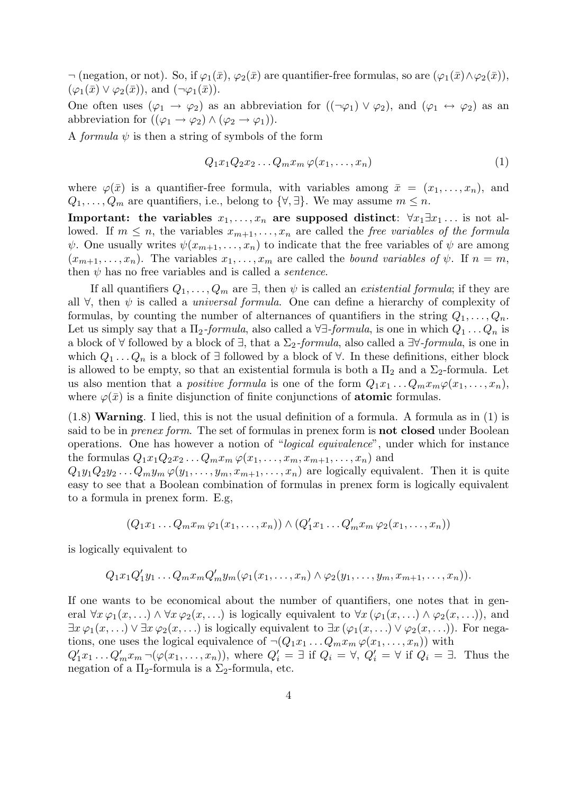$\neg$  (negation, or not). So, if  $\varphi_1(\bar{x}), \varphi_2(\bar{x})$  are quantifier-free formulas, so are  $(\varphi_1(\bar{x}) \wedge \varphi_2(\bar{x})),$  $(\varphi_1(\bar{x}) \vee \varphi_2(\bar{x})),$  and  $(\neg \varphi_1(\bar{x})).$ 

One often uses  $(\varphi_1 \to \varphi_2)$  as an abbreviation for  $((\neg \varphi_1) \vee \varphi_2)$ , and  $(\varphi_1 \leftrightarrow \varphi_2)$  as an abbreviation for  $((\varphi_1 \to \varphi_2) \land (\varphi_2 \to \varphi_1)).$ 

A *formula*  $\psi$  is then a string of symbols of the form

$$
Q_1x_1Q_2x_2\ldots Q_mx_m\,\varphi(x_1,\ldots,x_n) \tag{1}
$$

where  $\varphi(\bar{x})$  is a quantifier-free formula, with variables among  $\bar{x} = (x_1, \ldots, x_n)$ , and  $Q_1, \ldots, Q_m$  are quantifiers, i.e., belong to  $\{\forall, \exists\}$ . We may assume  $m \leq n$ .

Important: the variables  $x_1, \ldots, x_n$  are supposed distinct:  $\forall x_1 \exists x_1 \ldots$  is not allowed. If  $m \leq n$ , the variables  $x_{m+1}, \ldots, x_n$  are called the free variables of the formula  $\psi$ . One usually writes  $\psi(x_{m+1},...,x_n)$  to indicate that the free variables of  $\psi$  are among  $(x_{m+1},...,x_n)$ . The variables  $x_1,...,x_m$  are called the bound variables of  $\psi$ . If  $n = m$ , then  $\psi$  has no free variables and is called a *sentence*.

If all quantifiers  $Q_1, \ldots, Q_m$  are  $\exists$ , then  $\psi$  is called an *existential formula*; if they are all  $\forall$ , then  $\psi$  is called a *universal formula*. One can define a hierarchy of complexity of formulas, by counting the number of alternances of quantifiers in the string  $Q_1, \ldots, Q_n$ . Let us simply say that a  $\Pi_2$ -formula, also called a  $\forall \exists$ -formula, is one in which  $Q_1 \dots Q_n$  is a block of  $\forall$  followed by a block of  $\exists$ , that a  $\Sigma_2$ -formula, also called a  $\exists \forall$ -formula, is one in which  $Q_1 \ldots Q_n$  is a block of ∃ followed by a block of  $\forall$ . In these definitions, either block is allowed to be empty, so that an existential formula is both a  $\Pi_2$  and a  $\Sigma_2$ -formula. Let us also mention that a *positive formula* is one of the form  $Q_1x_1 \ldots Q_mx_m\varphi(x_1,\ldots,x_n)$ , where  $\varphi(\bar{x})$  is a finite disjunction of finite conjunctions of **atomic** formulas.

(1.8) Warning. I lied, this is not the usual definition of a formula. A formula as in (1) is said to be in *prenex form*. The set of formulas in prenex form is **not closed** under Boolean operations. One has however a notion of "logical equivalence", under which for instance the formulas  $Q_1x_1Q_2x_2...Q_mx_m\,\varphi(x_1,...,x_m,x_{m+1},...,x_n)$  and

 $Q_1y_1Q_2y_2...Q_my_m \varphi(y_1,...,y_m,x_{m+1},...,x_n)$  are logically equivalent. Then it is quite easy to see that a Boolean combination of formulas in prenex form is logically equivalent to a formula in prenex form. E.g,

$$
(Q_1x_1 \ldots Q_mx_m \varphi_1(x_1,\ldots,x_n)) \wedge (Q'_1x_1 \ldots Q'_mx_m \varphi_2(x_1,\ldots,x_n))
$$

is logically equivalent to

$$
Q_1x_1Q'_1y_1\ldots Q_mx_mQ'_my_m(\varphi_1(x_1,\ldots,x_n)\wedge\varphi_2(y_1,\ldots,y_m,x_{m+1},\ldots,x_n)).
$$

If one wants to be economical about the number of quantifiers, one notes that in general  $\forall x \varphi_1(x, \ldots) \wedge \forall x \varphi_2(x, \ldots)$  is logically equivalent to  $\forall x (\varphi_1(x, \ldots) \wedge \varphi_2(x, \ldots))$ , and  $\exists x \varphi_1(x, \ldots) \vee \exists x \varphi_2(x, \ldots)$  is logically equivalent to  $\exists x (\varphi_1(x, \ldots) \vee \varphi_2(x, \ldots))$ . For negations, one uses the logical equivalence of  $\neg (Q_1x_1 \dots Q_mx_m \varphi(x_1, \dots, x_n))$  with  $Q'_1x_1 \ldots Q'_mx_m \neg (\varphi(x_1,\ldots,x_n)),$  where  $Q'_i = \exists$  if  $Q_i = \forall$ ,  $Q'_i = \forall$  if  $Q_i = \exists$ . Thus the negation of a  $\Pi_2$ -formula is a  $\Sigma_2$ -formula, etc.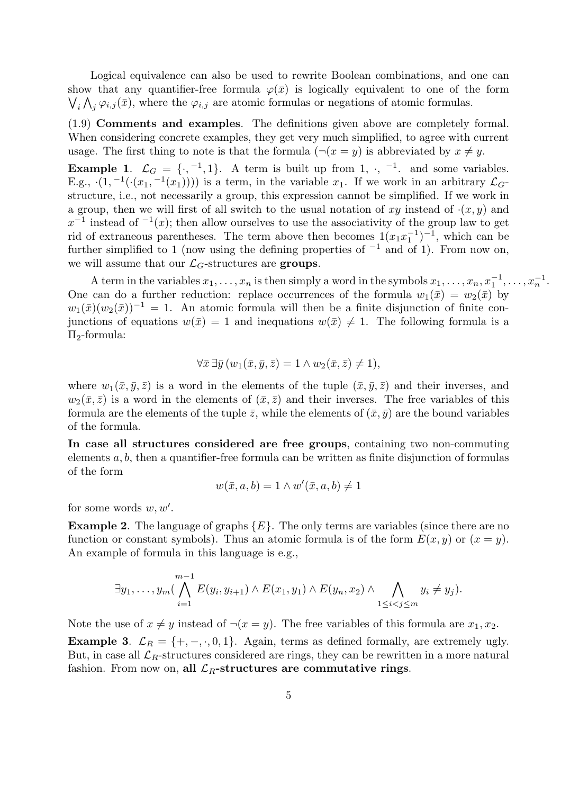Logical equivalence can also be used to rewrite Boolean combinations, and one can show that any quantifier-free formula  $\varphi(\bar{x})$  is logically equivalent to one of the form  $\bigvee_i \bigwedge_j \varphi_{i,j}(\bar{x})$ , where the  $\varphi_{i,j}$  are atomic formulas or negations of atomic formulas.

(1.9) Comments and examples. The definitions given above are completely formal. When considering concrete examples, they get very much simplified, to agree with current usage. The first thing to note is that the formula  $(\neg(x = y)$  is abbreviated by  $x \neq y$ .

**Example 1.**  $\mathcal{L}_G = \{\cdot, ^{-1}, 1\}$ . A term is built up from 1,  $\cdot$ ,  $^{-1}$ . and some variables. E.g.,  $(1, -1(\cdot(x_1, -1(x_1))))$  is a term, in the variable  $x_1$ . If we work in an arbitrary  $\mathcal{L}_G$ structure, i.e., not necessarily a group, this expression cannot be simplified. If we work in a group, then we will first of all switch to the usual notation of xy instead of  $(x, y)$  and  $x^{-1}$  instead of  $\overline{a}(x)$ ; then allow ourselves to use the associativity of the group law to get rid of extraneous parentheses. The term above then becomes  $1(x_1x_1^{-1})$  $\binom{-1}{1}$ , which can be further simplified to 1 (now using the defining properties of  $^{-1}$  and of 1). From now on, we will assume that our  $\mathcal{L}_G$ -structures are groups.

A term in the variables  $x_1, \ldots, x_n$  is then simply a word in the symbols  $x_1, \ldots, x_n, x_1^{-1}, \ldots, x_n^{-1}$ . One can do a further reduction: replace occurrences of the formula  $w_1(\bar{x}) = w_2(\bar{x})$  by  $w_1(\bar{x})(w_2(\bar{x}))^{-1} = 1$ . An atomic formula will then be a finite disjunction of finite conjunctions of equations  $w(\bar{x}) = 1$  and inequations  $w(\bar{x}) \neq 1$ . The following formula is a  $\Pi_2$ -formula:

$$
\forall \bar{x} \,\exists \bar{y} \,(w_1(\bar{x},\bar{y},\bar{z})=1 \land w_2(\bar{x},\bar{z})\neq 1),
$$

where  $w_1(\bar{x}, \bar{y}, \bar{z})$  is a word in the elements of the tuple  $(\bar{x}, \bar{y}, \bar{z})$  and their inverses, and  $w_2(\bar{x}, \bar{z})$  is a word in the elements of  $(\bar{x}, \bar{z})$  and their inverses. The free variables of this formula are the elements of the tuple  $\bar{z}$ , while the elements of  $(\bar{x}, \bar{y})$  are the bound variables of the formula.

In case all structures considered are free groups, containing two non-commuting elements  $a, b$ , then a quantifier-free formula can be written as finite disjunction of formulas of the form

$$
w(\bar{x}, a, b) = 1 \wedge w'(\bar{x}, a, b) \neq 1
$$

for some words  $w, w'$ .

**Example 2.** The language of graphs  $\{E\}$ . The only terms are variables (since there are no function or constant symbols). Thus an atomic formula is of the form  $E(x, y)$  or  $(x = y)$ . An example of formula in this language is e.g.,

$$
\exists y_1,\ldots,y_m\left(\bigwedge_{i=1}^{m-1}E(y_i,y_{i+1})\wedge E(x_1,y_1)\wedge E(y_n,x_2)\wedge \bigwedge_{1\leq i
$$

Note the use of  $x \neq y$  instead of  $\neg(x = y)$ . The free variables of this formula are  $x_1, x_2$ .

Example 3.  $\mathcal{L}_R = \{+, -, \cdot, 0, 1\}$ . Again, terms as defined formally, are extremely ugly. But, in case all  $\mathcal{L}_R$ -structures considered are rings, they can be rewritten in a more natural fashion. From now on, all  $\mathcal{L}_R$ -structures are commutative rings.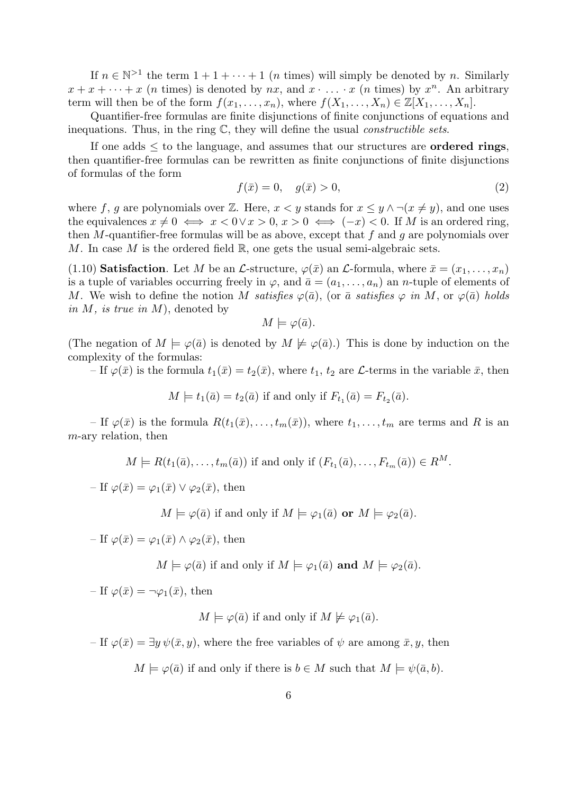If  $n \in \mathbb{N}^{>1}$  the term  $1 + 1 + \cdots + 1$  (*n* times) will simply be denoted by *n*. Similarly  $x + x + \cdots + x$  (*n* times) is denoted by *nx*, and  $x \cdot \ldots \cdot x$  (*n* times) by  $x^n$ . An arbitrary term will then be of the form  $f(x_1, \ldots, x_n)$ , where  $f(X_1, \ldots, X_n) \in \mathbb{Z}[X_1, \ldots, X_n]$ .

Quantifier-free formulas are finite disjunctions of finite conjunctions of equations and inequations. Thus, in the ring  $\mathbb{C}$ , they will define the usual *constructible sets*.

If one adds  $\leq$  to the language, and assumes that our structures are **ordered rings**, then quantifier-free formulas can be rewritten as finite conjunctions of finite disjunctions of formulas of the form

$$
f(\bar{x}) = 0, \quad g(\bar{x}) > 0,
$$
\n(2)

where f, g are polynomials over Z. Here,  $x < y$  stands for  $x \leq y \land \neg(x \neq y)$ , and one uses the equivalences  $x \neq 0 \iff x < 0 \lor x > 0, x > 0 \iff (-x) < 0$ . If M is an ordered ring, then M-quantifier-free formulas will be as above, except that f and q are polynomials over M. In case M is the ordered field  $\mathbb{R}$ , one gets the usual semi-algebraic sets.

(1.10) Satisfaction. Let M be an L-structure,  $\varphi(\bar{x})$  an L-formula, where  $\bar{x} = (x_1, \ldots, x_n)$ is a tuple of variables occurring freely in  $\varphi$ , and  $\bar{a} = (a_1, \ldots, a_n)$  an *n*-tuple of elements of M. We wish to define the notion M satisfies  $\varphi(\bar{a})$ , (or  $\bar{a}$  satisfies  $\varphi$  in M, or  $\varphi(\bar{a})$  holds in  $M$ , is true in  $M$ ), denoted by

$$
M \models \varphi(\bar{a}).
$$

(The negation of  $M \models \varphi(\bar{a})$  is denoted by  $M \not\models \varphi(\bar{a})$ .) This is done by induction on the complexity of the formulas:

– If  $\varphi(\bar{x})$  is the formula  $t_1(\bar{x}) = t_2(\bar{x})$ , where  $t_1, t_2$  are  $\mathcal{L}$ -terms in the variable  $\bar{x}$ , then

 $M \models t_1(\bar{a}) = t_2(\bar{a})$  if and only if  $F_{t_1}(\bar{a}) = F_{t_2}(\bar{a})$ .

– If  $\varphi(\bar{x})$  is the formula  $R(t_1(\bar{x}), \ldots, t_m(\bar{x}))$ , where  $t_1, \ldots, t_m$  are terms and R is an m-ary relation, then

$$
M \models R(t_1(\bar{a}), \ldots, t_m(\bar{a})) \text{ if and only if } (F_{t_1}(\bar{a}), \ldots, F_{t_m}(\bar{a})) \in R^M.
$$

– If  $\varphi(\bar{x}) = \varphi_1(\bar{x}) \vee \varphi_2(\bar{x})$ , then

 $M \models \varphi(\bar{a})$  if and only if  $M \models \varphi_1(\bar{a})$  or  $M \models \varphi_2(\bar{a})$ .

– If  $\varphi(\bar{x}) = \varphi_1(\bar{x}) \wedge \varphi_2(\bar{x})$ , then

$$
M \models \varphi(\bar{a})
$$
 if and only if  $M \models \varphi_1(\bar{a})$  and  $M \models \varphi_2(\bar{a})$ .

– If  $\varphi(\bar{x}) = \neg \varphi_1(\bar{x})$ , then

$$
M \models \varphi(\bar{a})
$$
 if and only if  $M \not\models \varphi_1(\bar{a})$ .

– If  $\varphi(\bar{x}) = \exists y \psi(\bar{x}, y)$ , where the free variables of  $\psi$  are among  $\bar{x}, y$ , then

 $M \models \varphi(\bar{a})$  if and only if there is  $b \in M$  such that  $M \models \psi(\bar{a}, b)$ .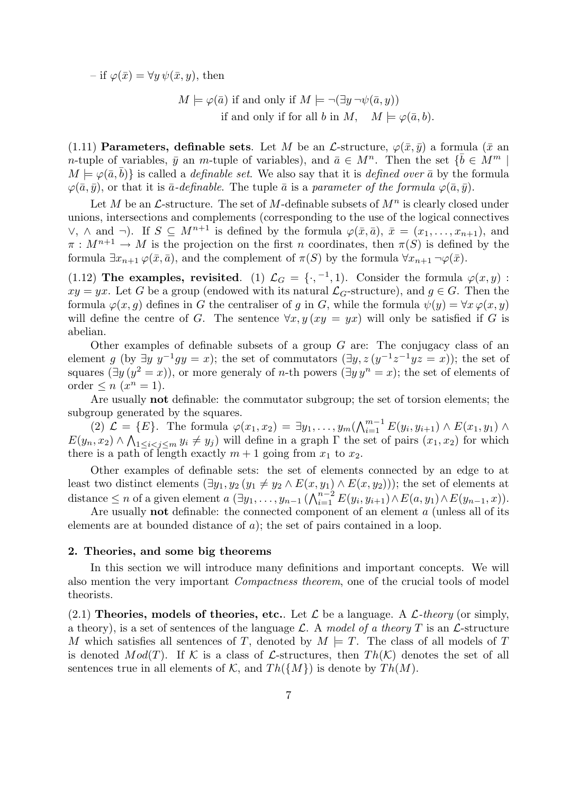– if  $\varphi(\bar{x}) = \forall y \psi(\bar{x}, y)$ , then

$$
M \models \varphi(\bar{a}) \text{ if and only if } M \models \neg(\exists y \neg \psi(\bar{a}, y))
$$
  
if and only if for all b in  $M$ ,  $M \models \varphi(\bar{a}, b)$ .

(1.11) **Parameters, definable sets**. Let M be an L-structure,  $\varphi(\bar{x}, \bar{y})$  a formula ( $\bar{x}$  an n-tuple of variables,  $\bar{y}$  an m-tuple of variables), and  $\bar{a} \in M^n$ . Then the set  $\{\bar{b} \in M^m \mid \bar{b} \in M^m\}$  $M \models \varphi(\bar{a}, \bar{b})$  is called a *definable set*. We also say that it is *defined over*  $\bar{a}$  by the formula  $\varphi(\bar{a}, \bar{y})$ , or that it is  $\bar{a}$ -definable. The tuple  $\bar{a}$  is a parameter of the formula  $\varphi(\bar{a}, \bar{y})$ .

Let M be an  $\mathcal{L}$ -structure. The set of M-definable subsets of  $M^n$  is clearly closed under unions, intersections and complements (corresponding to the use of the logical connectives  $\vee$ , ∧ and  $\neg$ ). If  $S \subseteq M^{n+1}$  is defined by the formula  $\varphi(\bar{x}, \bar{a}), \bar{x} = (x_1, \ldots, x_{n+1}),$  and  $\pi : M^{n+1} \to M$  is the projection on the first n coordinates, then  $\pi(S)$  is defined by the formula  $\exists x_{n+1} \varphi(\bar{x}, \bar{a})$ , and the complement of  $\pi(S)$  by the formula  $\forall x_{n+1} \neg \varphi(\bar{x})$ .

(1.12) The examples, revisited. (1)  $\mathcal{L}_G = \{\cdot, ^{-1}, 1\}$ . Consider the formula  $\varphi(x, y)$ :  $xy = yx$ . Let G be a group (endowed with its natural  $\mathcal{L}_G$ -structure), and  $g \in G$ . Then the formula  $\varphi(x, g)$  defines in G the centraliser of g in G, while the formula  $\psi(y) = \forall x \varphi(x, y)$ will define the centre of G. The sentence  $\forall x, y \, (xy = yx)$  will only be satisfied if G is abelian.

Other examples of definable subsets of a group  $G$  are: The conjugacy class of an element g (by  $\exists y \ y^{-1} gy = x$ ); the set of commutators  $(\exists y, z (y^{-1}z^{-1}yz = x))$ ; the set of squares  $(\exists y (y^2 = x))$ , or more generaly of *n*-th powers  $(\exists y y^n = x)$ ; the set of elements of order  $\leq n$   $(x^n = 1)$ .

Are usually not definable: the commutator subgroup; the set of torsion elements; the subgroup generated by the squares.

(2)  $\mathcal{L} = \{E\}.$  The formula  $\varphi(x_1, x_2) = \exists y_1, \ldots, y_m (\bigwedge_{i=1}^{m-1} E(y_i, y_{i+1}) \wedge E(x_1, y_1) \wedge \ldots \wedge E(x_m, y_m) \}$  $E(y_n, x_2) \wedge \bigwedge_{1 \leq i < j \leq m} y_i \neq y_j$  will define in a graph  $\Gamma$  the set of pairs  $(x_1, x_2)$  for which there is a path of length exactly  $m + 1$  going from  $x_1$  to  $x_2$ .

Other examples of definable sets: the set of elements connected by an edge to at least two distinct elements  $(\exists y_1, y_2 \ (y_1 \neq y_2 \land E(x, y_1) \land E(x, y_2)))$ ; the set of elements at distance  $\leq n$  of a given element  $a\left(\exists y_1,\ldots,y_{n-1}\left(\bigwedge_{i=1}^{n-2}E(y_i,y_{i+1}\right)\wedge E(a,y_1)\wedge E(y_{n-1},x)\right)$ .

Are usually not definable: the connected component of an element a (unless all of its elements are at bounded distance of a); the set of pairs contained in a loop.

## 2. Theories, and some big theorems

In this section we will introduce many definitions and important concepts. We will also mention the very important Compactness theorem, one of the crucial tools of model theorists.

(2.1) Theories, models of theories, etc.. Let  $\mathcal L$  be a language. A  $\mathcal L$ -theory (or simply, a theory), is a set of sentences of the language L. A model of a theory T is an L-structure M which satisfies all sentences of T, denoted by  $M \models T$ . The class of all models of T is denoted  $Mod(T)$ . If K is a class of L-structures, then  $Th(K)$  denotes the set of all sentences true in all elements of K, and  $Th({M})$  is denote by  $Th(M)$ .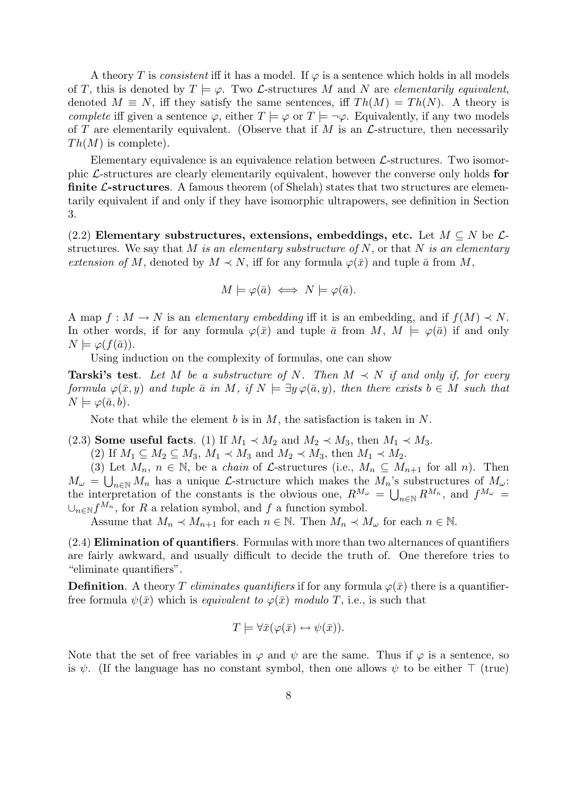A theory T is consistent iff it has a model. If  $\varphi$  is a sentence which holds in all models of T, this is denoted by  $T \models \varphi$ . Two *L*-structures M and N are *elementarily equivalent*, denoted  $M \equiv N$ , iff they satisfy the same sentences, iff  $Th(M) = Th(N)$ . A theory is complete iff given a sentence  $\varphi$ , either  $T \models \varphi$  or  $T \models \neg \varphi$ . Equivalently, if any two models of T are elementarily equivalent. (Observe that if M is an  $\mathcal{L}\text{-structure}$ , then necessarily  $Th(M)$  is complete).

Elementary equivalence is an equivalence relation between  $\mathcal{L}$ -structures. Two isomorphic L-structures are clearly elementarily equivalent, however the converse only holds for **finite L-structures**. A famous theorem (of Shelah) states that two structures are elementarily equivalent if and only if they have isomorphic ultrapowers, see definition in Section 3.

(2.2) Elementary substructures, extensions, embeddings, etc. Let  $M \subseteq N$  be  $\mathcal{L}$ structures. We say that M is an elementary substructure of N, or that N is an elementary extension of M, denoted by  $M \prec N$ , iff for any formula  $\varphi(\bar{x})$  and tuple  $\bar{a}$  from M,

$$
M \models \varphi(\bar{a}) \iff N \models \varphi(\bar{a}).
$$

A map  $f : M \to N$  is an elementary embedding iff it is an embedding, and if  $f(M) \prec N$ . In other words, if for any formula  $\varphi(\bar{x})$  and tuple  $\bar{a}$  from  $M, M \models \varphi(\bar{a})$  if and only  $N \models \varphi(f(\bar{a})).$ 

Using induction on the complexity of formulas, one can show

**Tarski's test**. Let M be a substructure of N. Then  $M \prec N$  if and only if, for every formula  $\varphi(\bar{x}, y)$  and tuple  $\bar{a}$  in M, if  $N \models \exists y \varphi(\bar{a}, y)$ , then there exists  $b \in M$  such that  $N \models \varphi(\bar{a}, b).$ 

Note that while the element  $b$  is in  $M$ , the satisfaction is taken in  $N$ .

(2.3) Some useful facts. (1) If  $M_1 \prec M_2$  and  $M_2 \prec M_3$ , then  $M_1 \prec M_3$ .

(2) If  $M_1 \subseteq M_2 \subseteq M_3$ ,  $M_1 \prec M_3$  and  $M_2 \prec M_3$ , then  $M_1 \prec M_2$ .

(3) Let  $M_n$ ,  $n \in \mathbb{N}$ , be a *chain* of *L*-structures (i.e.,  $M_n \subseteq M_{n+1}$  for all *n*). Then  $M_{\omega} = \bigcup_{n \in \mathbb{N}} M_n$  has a unique *L*-structure which makes the  $M_n$ 's substructures of  $M_{\omega}$ : the interpretation of the constants is the obvious one,  $R^{M_{\omega}} = \bigcup_{n \in \mathbb{N}} R^{M_n}$ , and  $f^{M_{\omega}} =$  $\cup_{n\in\mathbb{N}}f^{M_n}$ , for R a relation symbol, and f a function symbol.

Assume that  $M_n \prec M_{n+1}$  for each  $n \in \mathbb{N}$ . Then  $M_n \prec M_\omega$  for each  $n \in \mathbb{N}$ .

 $(2.4)$  Elimination of quantifiers. Formulas with more than two alternances of quantifiers are fairly awkward, and usually difficult to decide the truth of. One therefore tries to "eliminate quantifiers".

**Definition.** A theory T eliminates quantifiers if for any formula  $\varphi(\bar{x})$  there is a quantifierfree formula  $\psi(\bar{x})$  which is *equivalent to*  $\varphi(\bar{x})$  modulo T, i.e., is such that

$$
T \models \forall \bar{x}(\varphi(\bar{x}) \leftrightarrow \psi(\bar{x})).
$$

Note that the set of free variables in  $\varphi$  and  $\psi$  are the same. Thus if  $\varphi$  is a sentence, so is  $\psi$ . (If the language has no constant symbol, then one allows  $\psi$  to be either ⊤ (true)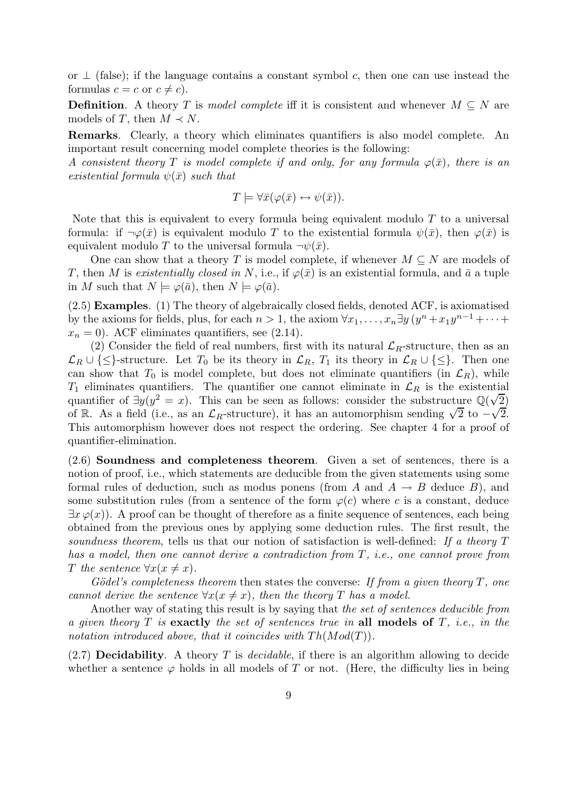or  $\perp$  (false); if the language contains a constant symbol c, then one can use instead the formulas  $c = c$  or  $c \neq c$ ).

**Definition.** A theory T is model complete iff it is consistent and whenever  $M \subseteq N$  are models of T, then  $M \prec N$ .

Remarks. Clearly, a theory which eliminates quantifiers is also model complete. An important result concerning model complete theories is the following:

A consistent theory T is model complete if and only, for any formula  $\varphi(\bar{x})$ , there is an existential formula  $\psi(\bar{x})$  such that

$$
T \models \forall \bar{x}(\varphi(\bar{x}) \leftrightarrow \psi(\bar{x})).
$$

Note that this is equivalent to every formula being equivalent modulo  $T$  to a universal formula: if  $\neg \varphi(\bar{x})$  is equivalent modulo T to the existential formula  $\psi(\bar{x})$ , then  $\varphi(\bar{x})$  is equivalent modulo T to the universal formula  $\neg \psi(\bar{x})$ .

One can show that a theory T is model complete, if whenever  $M \subseteq N$  are models of T, then M is existentially closed in N, i.e., if  $\varphi(\bar{x})$  is an existential formula, and  $\bar{a}$  a tuple in M such that  $N \models \varphi(\bar{a})$ , then  $N \models \varphi(\bar{a})$ .

(2.5) Examples. (1) The theory of algebraically closed fields, denoted ACF, is axiomatised by the axioms for fields, plus, for each  $n > 1$ , the axiom  $\forall x_1, \ldots, x_n \exists y \, (y^n + x_1 y^{n-1} + \cdots +$  $x_n = 0$ ). ACF eliminates quantifiers, see (2.14).

(2) Consider the field of real numbers, first with its natural  $\mathcal{L}_R$ -structure, then as an  $\mathcal{L}_R \cup \{\leq\}$ -structure. Let  $T_0$  be its theory in  $\mathcal{L}_R$ ,  $T_1$  its theory in  $\mathcal{L}_R \cup \{\leq\}$ . Then one can show that  $T_0$  is model complete, but does not eliminate quantifiers (in  $\mathcal{L}_R$ ), while  $T_1$  eliminates quantifiers. The quantifier one cannot eliminate in  $\mathcal{L}_R$  is the existential quantifier of  $\exists y(y^2 = x)$ . This can be seen as follows: consider the substructure  $\mathbb{Q}(\sqrt{2})$ of R. As a field (i.e., as an  $\mathcal{L}_R$ -structure), it has an automorphism sending  $\sqrt{2}$  to  $-\sqrt{2}$ . This automorphism however does not respect the ordering. See chapter 4 for a proof of quantifier-elimination.

(2.6) Soundness and completeness theorem. Given a set of sentences, there is a notion of proof, i.e., which statements are deducible from the given statements using some formal rules of deduction, such as modus ponens (from A and  $A \rightarrow B$  deduce B), and some substitution rules (from a sentence of the form  $\varphi(c)$  where c is a constant, deduce  $\exists x \varphi(x)$ . A proof can be thought of therefore as a finite sequence of sentences, each being obtained from the previous ones by applying some deduction rules. The first result, the soundness theorem, tells us that our notion of satisfaction is well-defined: If a theory T has a model, then one cannot derive a contradiction from T, *i.e.*, one cannot prove from T the sentence  $\forall x(x \neq x)$ .

Gödel's completeness theorem then states the converse: If from a given theory  $T$ , one cannot derive the sentence  $\forall x (x \neq x)$ , then the theory T has a model.

Another way of stating this result is by saying that the set of sentences deducible from a given theory  $T$  is exactly the set of sentences true in all models of  $T$ , i.e., in the notation introduced above, that it coincides with  $Th(Mod(T))$ .

 $(2.7)$  **Decidability**. A theory T is *decidable*, if there is an algorithm allowing to decide whether a sentence  $\varphi$  holds in all models of T or not. (Here, the difficulty lies in being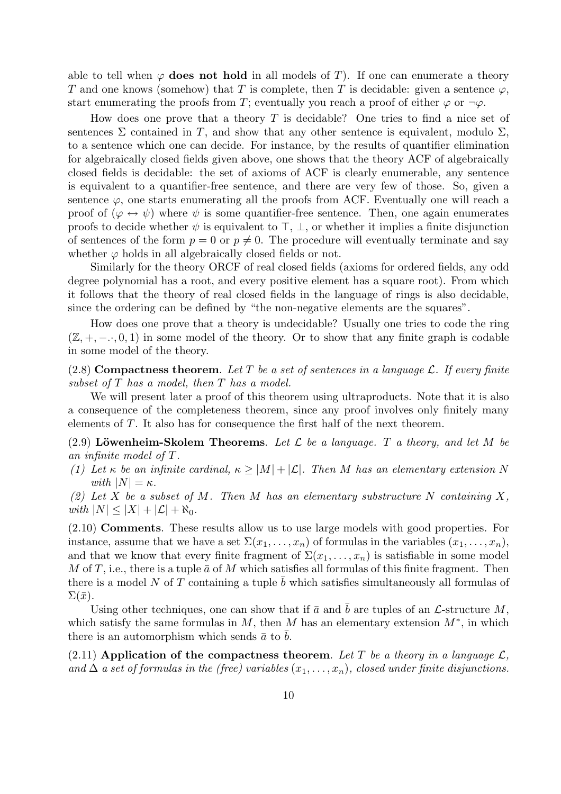able to tell when  $\varphi$  does not hold in all models of T). If one can enumerate a theory T and one knows (somehow) that T is complete, then T is decidable: given a sentence  $\varphi$ , start enumerating the proofs from T; eventually you reach a proof of either  $\varphi$  or  $\neg \varphi$ .

How does one prove that a theory  $T$  is decidable? One tries to find a nice set of sentences  $\Sigma$  contained in T, and show that any other sentence is equivalent, modulo  $\Sigma$ , to a sentence which one can decide. For instance, by the results of quantifier elimination for algebraically closed fields given above, one shows that the theory ACF of algebraically closed fields is decidable: the set of axioms of ACF is clearly enumerable, any sentence is equivalent to a quantifier-free sentence, and there are very few of those. So, given a sentence  $\varphi$ , one starts enumerating all the proofs from ACF. Eventually one will reach a proof of  $(\varphi \leftrightarrow \psi)$  where  $\psi$  is some quantifier-free sentence. Then, one again enumerates proofs to decide whether  $\psi$  is equivalent to  $\top$ ,  $\bot$ , or whether it implies a finite disjunction of sentences of the form  $p = 0$  or  $p \neq 0$ . The procedure will eventually terminate and say whether  $\varphi$  holds in all algebraically closed fields or not.

Similarly for the theory ORCF of real closed fields (axioms for ordered fields, any odd degree polynomial has a root, and every positive element has a square root). From which it follows that the theory of real closed fields in the language of rings is also decidable, since the ordering can be defined by "the non-negative elements are the squares".

How does one prove that a theory is undecidable? Usually one tries to code the ring  $(\mathbb{Z}, +, -, 0, 1)$  in some model of the theory. Or to show that any finite graph is codable in some model of the theory.

(2.8) Compactness theorem. Let T be a set of sentences in a language L. If every finite subset of  $T$  has a model, then  $T$  has a model.

We will present later a proof of this theorem using ultraproducts. Note that it is also a consequence of the completeness theorem, since any proof involves only finitely many elements of T. It also has for consequence the first half of the next theorem.

(2.9) Löwenheim-Skolem Theorems. Let  $\mathcal L$  be a language. T a theory, and let M be an infinite model of T.

(1) Let  $\kappa$  be an infinite cardinal,  $\kappa > |M| + |\mathcal{L}|$ . Then M has an elementary extension N with  $|N| = \kappa$ .

(2) Let X be a subset of M. Then M has an elementary substructure N containing X, with  $|N| \leq |X| + |\mathcal{L}| + \aleph_0$ .

(2.10) Comments. These results allow us to use large models with good properties. For instance, assume that we have a set  $\Sigma(x_1, \ldots, x_n)$  of formulas in the variables  $(x_1, \ldots, x_n)$ , and that we know that every finite fragment of  $\Sigma(x_1, \ldots, x_n)$  is satisfiable in some model M of T, i.e., there is a tuple  $\bar{a}$  of M which satisfies all formulas of this finite fragment. Then there is a model N of T containing a tuple b which satisfies simultaneously all formulas of  $\Sigma(\bar{x})$ .

Using other techniques, one can show that if  $\bar{a}$  and b are tuples of an  $\mathcal{L}$ -structure M, which satisfy the same formulas in  $M$ , then  $M$  has an elementary extension  $M^*$ , in which there is an automorphism which sends  $\bar{a}$  to b.

(2.11) Application of the compactness theorem. Let T be a theory in a language  $\mathcal{L}$ , and  $\Delta$  a set of formulas in the (free) variables  $(x_1, \ldots, x_n)$ , closed under finite disjunctions.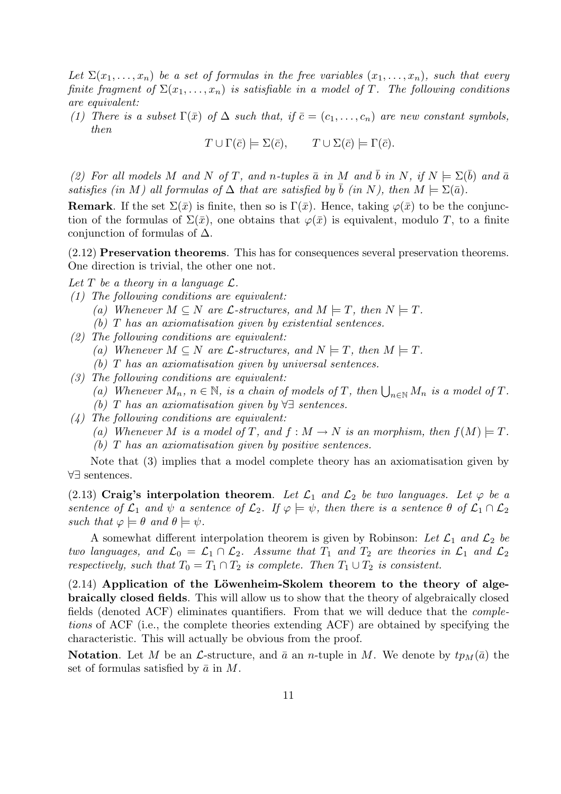Let  $\Sigma(x_1,\ldots,x_n)$  be a set of formulas in the free variables  $(x_1,\ldots,x_n)$ , such that every finite fragment of  $\Sigma(x_1,\ldots,x_n)$  is satisfiable in a model of T. The following conditions are equivalent:

(1) There is a subset  $\Gamma(\bar{x})$  of  $\Delta$  such that, if  $\bar{c}=(c_1,\ldots,c_n)$  are new constant symbols, then

 $T \cup \Gamma(\overline{c}) \models \Sigma(\overline{c}), \qquad T \cup \Sigma(\overline{c}) \models \Gamma(\overline{c}).$ 

(2) For all models M and N of T, and n-tuples  $\bar{a}$  in M and  $\bar{b}$  in N, if  $N \models \Sigma(\bar{b})$  and  $\bar{a}$ satisfies (in M) all formulas of  $\Delta$  that are satisfied by b (in N), then  $M \models \Sigma(\bar{a})$ .

**Remark**. If the set  $\Sigma(\bar{x})$  is finite, then so is  $\Gamma(\bar{x})$ . Hence, taking  $\varphi(\bar{x})$  to be the conjunction of the formulas of  $\Sigma(\bar{x})$ , one obtains that  $\varphi(\bar{x})$  is equivalent, modulo T, to a finite conjunction of formulas of  $\Delta$ .

(2.12) Preservation theorems. This has for consequences several preservation theorems. One direction is trivial, the other one not.

Let T be a theory in a language  $\mathcal{L}$ .

- (1) The following conditions are equivalent:
	- (a) Whenever  $M \subseteq N$  are  $\mathcal{L}$ -structures, and  $M \models T$ , then  $N \models T$ .
	- (b) T has an axiomatisation given by existential sentences.
- (2) The following conditions are equivalent: (a) Whenever  $M \subseteq N$  are  $\mathcal{L}$ -structures, and  $N \models T$ , then  $M \models T$ . (b) T has an axiomatisation given by universal sentences.
- (3) The following conditions are equivalent:
	- (a) Whenever  $M_n$ ,  $n \in \mathbb{N}$ , is a chain of models of T, then  $\bigcup_{n \in \mathbb{N}} M_n$  is a model of T.
		- (b) T has an axiomatisation given by ∀∃ sentences.
- (4) The following conditions are equivalent:
	- (a) Whenever M is a model of T, and  $f : M \to N$  is an morphism, then  $f(M) \models T$ .

(b) T has an axiomatisation given by positive sentences.

Note that (3) implies that a model complete theory has an axiomatisation given by ∀∃ sentences.

(2.13) Craig's interpolation theorem. Let  $\mathcal{L}_1$  and  $\mathcal{L}_2$  be two languages. Let  $\varphi$  be a sentence of  $\mathcal{L}_1$  and  $\psi$  a sentence of  $\mathcal{L}_2$ . If  $\varphi \models \psi$ , then there is a sentence  $\theta$  of  $\mathcal{L}_1 \cap \mathcal{L}_2$ such that  $\varphi \models \theta$  and  $\theta \models \psi$ .

A somewhat different interpolation theorem is given by Robinson: Let  $\mathcal{L}_1$  and  $\mathcal{L}_2$  be two languages, and  $\mathcal{L}_0 = \mathcal{L}_1 \cap \mathcal{L}_2$ . Assume that  $T_1$  and  $T_2$  are theories in  $\mathcal{L}_1$  and  $\mathcal{L}_2$ respectively, such that  $T_0 = T_1 \cap T_2$  is complete. Then  $T_1 \cup T_2$  is consistent.

 $(2.14)$  Application of the Löwenheim-Skolem theorem to the theory of algebraically closed fields. This will allow us to show that the theory of algebraically closed fields (denoted ACF) eliminates quantifiers. From that we will deduce that the completions of ACF (i.e., the complete theories extending ACF) are obtained by specifying the characteristic. This will actually be obvious from the proof.

**Notation.** Let M be an L-structure, and  $\bar{a}$  an n-tuple in M. We denote by  $tp_M(\bar{a})$  the set of formulas satisfied by  $\bar{a}$  in M.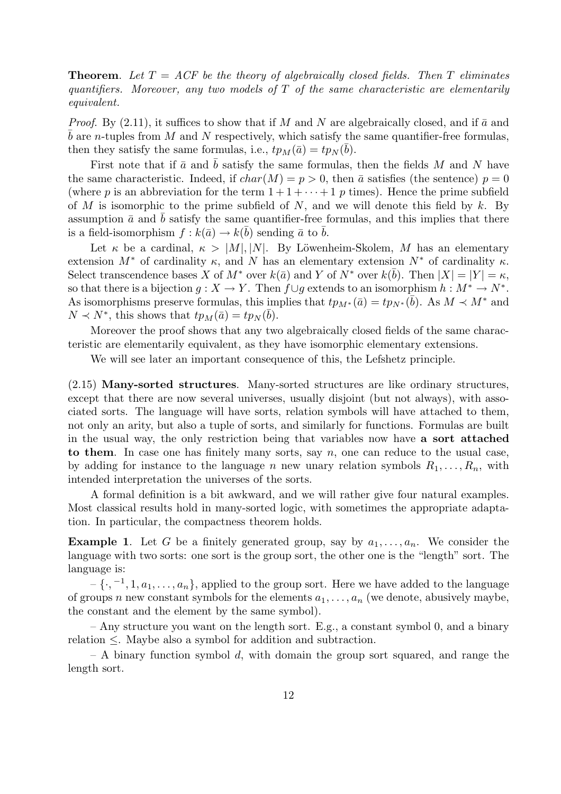**Theorem.** Let  $T = ACF$  be the theory of algebraically closed fields. Then T eliminates quantifiers. Moreover, any two models of  $T$  of the same characteristic are elementarily equivalent.

*Proof.* By (2.11), it suffices to show that if M and N are algebraically closed, and if  $\bar{a}$  and b are n-tuples from M and N respectively, which satisfy the same quantifier-free formulas, then they satisfy the same formulas, i.e.,  $tp_M(\bar{a}) = tp_N(\bar{b})$ .

First note that if  $\bar{a}$  and  $\bar{b}$  satisfy the same formulas, then the fields M and N have the same characteristic. Indeed, if  $char(M) = p > 0$ , then  $\bar{a}$  satisfies (the sentence)  $p = 0$ (where p is an abbreviation for the term  $1 + 1 + \cdots + 1$  p times). Hence the prime subfield of M is isomorphic to the prime subfield of N, and we will denote this field by k. By assumption  $\bar{a}$  and b satisfy the same quantifier-free formulas, and this implies that there is a field-isomorphism  $f : k(\bar{a}) \to k(\bar{b})$  sending  $\bar{a}$  to  $\bar{b}$ .

Let  $\kappa$  be a cardinal,  $\kappa > |M|, |N|$ . By Löwenheim-Skolem, M has an elementary extension  $M^*$  of cardinality  $\kappa$ , and N has an elementary extension  $N^*$  of cardinality  $\kappa$ . Select transcendence bases X of  $M^*$  over  $k(\bar{a})$  and Y of  $N^*$  over  $k(\bar{b})$ . Then  $|X| = |Y| = \kappa$ , so that there is a bijection  $g: X \to Y$ . Then  $f \cup g$  extends to an isomorphism  $h: M^* \to N^*$ . As isomorphisms preserve formulas, this implies that  $tp_{M^*}(\bar{a}) = tp_{N^*}(\bar{b})$ . As  $M \prec M^*$  and  $N \prec N^*$ , this shows that  $tp_M(\bar{a}) = tp_N(\bar{b})$ .

Moreover the proof shows that any two algebraically closed fields of the same characteristic are elementarily equivalent, as they have isomorphic elementary extensions.

We will see later an important consequence of this, the Lefshetz principle.

(2.15) Many-sorted structures. Many-sorted structures are like ordinary structures, except that there are now several universes, usually disjoint (but not always), with associated sorts. The language will have sorts, relation symbols will have attached to them, not only an arity, but also a tuple of sorts, and similarly for functions. Formulas are built in the usual way, the only restriction being that variables now have a sort attached to them. In case one has finitely many sorts, say  $n$ , one can reduce to the usual case, by adding for instance to the language n new unary relation symbols  $R_1, \ldots, R_n$ , with intended interpretation the universes of the sorts.

A formal definition is a bit awkward, and we will rather give four natural examples. Most classical results hold in many-sorted logic, with sometimes the appropriate adaptation. In particular, the compactness theorem holds.

**Example 1.** Let G be a finitely generated group, say by  $a_1, \ldots, a_n$ . We consider the language with two sorts: one sort is the group sort, the other one is the "length" sort. The language is:

 $-\{\cdot, -1, 1, a_1, \ldots, a_n\}$ , applied to the group sort. Here we have added to the language of groups n new constant symbols for the elements  $a_1, \ldots, a_n$  (we denote, abusively maybe, the constant and the element by the same symbol).

– Any structure you want on the length sort. E.g., a constant symbol 0, and a binary relation ≤. Maybe also a symbol for addition and subtraction.

 $- A$  binary function symbol d, with domain the group sort squared, and range the length sort.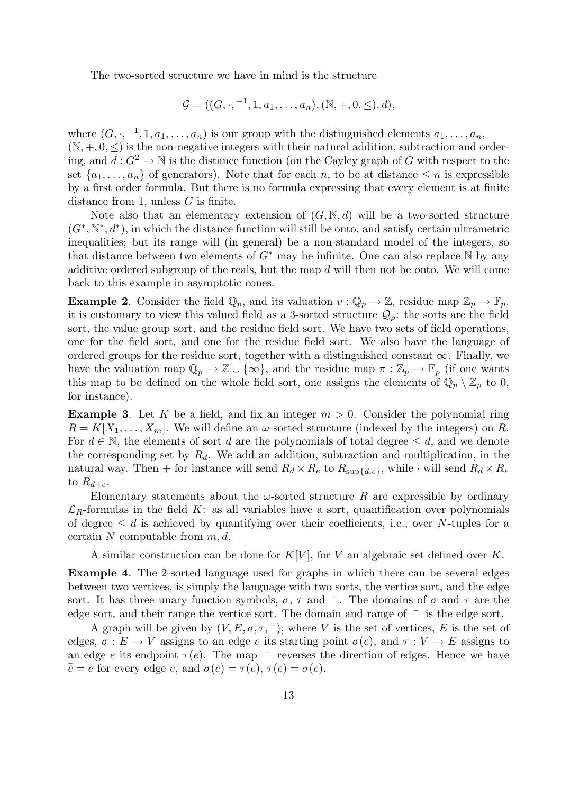The two-sorted structure we have in mind is the structure

$$
\mathcal{G} = ((G, \cdot, ^{-1}, 1, a_1, \ldots, a_n), (\mathbb{N}, +, 0, \leq), d),
$$

where  $(G, \cdot, -1, 1, a_1, \ldots, a_n)$  is our group with the distinguished elements  $a_1, \ldots, a_n$ ,  $(N, +, 0, <)$  is the non-negative integers with their natural addition, subtraction and ordering, and  $d: G^2 \to \mathbb{N}$  is the distance function (on the Cayley graph of G with respect to the set  $\{a_1, \ldots, a_n\}$  of generators). Note that for each n, to be at distance  $\leq n$  is expressible by a first order formula. But there is no formula expressing that every element is at finite distance from 1, unless G is finite.

Note also that an elementary extension of  $(G, \mathbb{N}, d)$  will be a two-sorted structure  $(G^*,\mathbb{N}^*,d^*)$ , in which the distance function will still be onto, and satisfy certain ultrametric inequalities; but its range will (in general) be a non-standard model of the integers, so that distance between two elements of  $G^*$  may be infinite. One can also replace N by any additive ordered subgroup of the reals, but the map  $d$  will then not be onto. We will come back to this example in asymptotic cones.

**Example 2.** Consider the field  $\mathbb{Q}_p$ , and its valuation  $v : \mathbb{Q}_p \to \mathbb{Z}$ , residue map  $\mathbb{Z}_p \to \mathbb{F}_p$ . it is customary to view this valued field as a 3-sorted structure  $\mathcal{Q}_p$ : the sorts are the field sort, the value group sort, and the residue field sort. We have two sets of field operations, one for the field sort, and one for the residue field sort. We also have the language of ordered groups for the residue sort, together with a distinguished constant  $\infty$ . Finally, we have the valuation map  $\mathbb{Q}_p \to \mathbb{Z} \cup \{\infty\}$ , and the residue map  $\pi : \mathbb{Z}_p \to \mathbb{F}_p$  (if one wants this map to be defined on the whole field sort, one assigns the elements of  $\mathbb{Q}_p \setminus \mathbb{Z}_p$  to 0, for instance).

**Example 3.** Let K be a field, and fix an integer  $m > 0$ . Consider the polynomial ring  $R = K[X_1, \ldots, X_m]$ . We will define an  $\omega$ -sorted structure (indexed by the integers) on R. For  $d \in \mathbb{N}$ , the elements of sort d are the polynomials of total degree  $\leq d$ , and we denote the corresponding set by  $R_d$ . We add an addition, subtraction and multiplication, in the natural way. Then + for instance will send  $R_d \times R_e$  to  $R_{\text{sub{de}}},$  while  $\cdot$  will send  $R_d \times R_e$ to  $R_{d+e}$ .

Elementary statements about the  $\omega$ -sorted structure R are expressible by ordinary  $\mathcal{L}_R$ -formulas in the field K: as all variables have a sort, quantification over polynomials of degree  $\leq d$  is achieved by quantifying over their coefficients, i.e., over N-tuples for a certain N computable from  $m, d$ .

A similar construction can be done for  $K[V]$ , for V an algebraic set defined over K.

Example 4. The 2-sorted language used for graphs in which there can be several edges between two vertices, is simply the language with two sorts, the vertice sort, and the edge sort. It has three unary function symbols,  $\sigma$ ,  $\tau$  and  $\bar{ }$ . The domains of  $\sigma$  and  $\tau$  are the edge sort, and their range the vertice sort. The domain and range of  $\bar{ }$  is the edge sort.

A graph will be given by  $(V, E, \sigma, \tau, \bar{\ } )$ , where V is the set of vertices, E is the set of edges,  $\sigma : E \to V$  assigns to an edge e its starting point  $\sigma(e)$ , and  $\tau : V \to E$  assigns to an edge e its endpoint  $\tau(e)$ . The map  $\bar{ }$  reverses the direction of edges. Hence we have  $\bar{\bar{e}} = e$  for every edge e, and  $\sigma(\bar{e}) = \tau(e), \tau(\bar{e}) = \sigma(e).$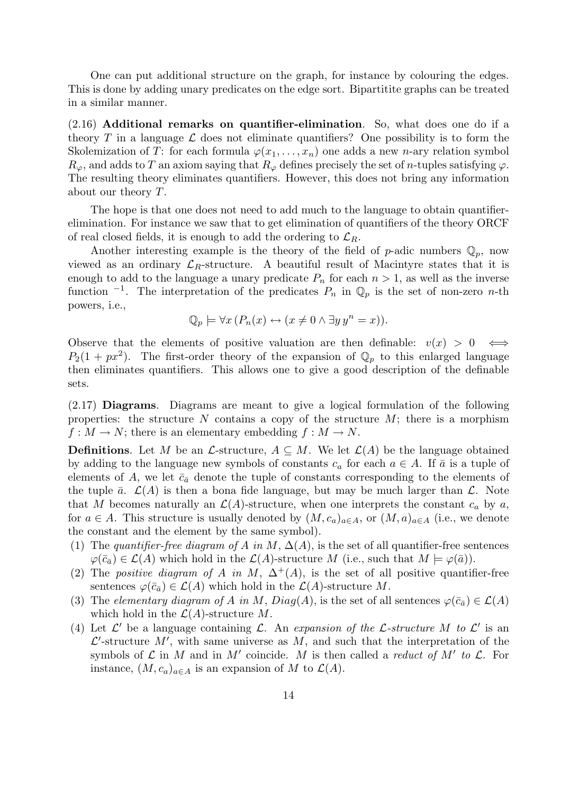One can put additional structure on the graph, for instance by colouring the edges. This is done by adding unary predicates on the edge sort. Bipartitite graphs can be treated in a similar manner.

(2.16) Additional remarks on quantifier-elimination. So, what does one do if a theory T in a language  $\mathcal L$  does not eliminate quantifiers? One possibility is to form the Skolemization of T: for each formula  $\varphi(x_1, \ldots, x_n)$  one adds a new *n*-ary relation symbol  $R_{\varphi}$ , and adds to T an axiom saying that  $R_{\varphi}$  defines precisely the set of n-tuples satisfying  $\varphi$ . The resulting theory eliminates quantifiers. However, this does not bring any information about our theory T.

The hope is that one does not need to add much to the language to obtain quantifierelimination. For instance we saw that to get elimination of quantifiers of the theory ORCF of real closed fields, it is enough to add the ordering to  $\mathcal{L}_R$ .

Another interesting example is the theory of the field of p-adic numbers  $\mathbb{Q}_p$ , now viewed as an ordinary  $\mathcal{L}_R$ -structure. A beautiful result of Macintyre states that it is enough to add to the language a unary predicate  $P_n$  for each  $n > 1$ , as well as the inverse function  $^{-1}$ . The interpretation of the predicates  $P_n$  in  $\mathbb{Q}_p$  is the set of non-zero *n*-th powers, i.e.,

$$
\mathbb{Q}_p \models \forall x \left( P_n(x) \leftrightarrow (x \neq 0 \land \exists y \, y^n = x) \right).
$$

Observe that the elements of positive valuation are then definable:  $v(x) > 0 \iff$  $P_2(1+px^2)$ . The first-order theory of the expansion of  $\mathbb{Q}_p$  to this enlarged language then eliminates quantifiers. This allows one to give a good description of the definable sets.

(2.17) Diagrams. Diagrams are meant to give a logical formulation of the following properties: the structure  $N$  contains a copy of the structure  $M$ ; there is a morphism  $f: M \to N$ ; there is an elementary embedding  $f: M \to N$ .

**Definitions.** Let M be an L-structure,  $A \subseteq M$ . We let  $\mathcal{L}(A)$  be the language obtained by adding to the language new symbols of constants  $c_a$  for each  $a \in A$ . If  $\bar{a}$  is a tuple of elements of A, we let  $\bar{c}_{\bar{a}}$  denote the tuple of constants corresponding to the elements of the tuple  $\bar{a}$ .  $\mathcal{L}(A)$  is then a bona fide language, but may be much larger than  $\mathcal{L}$ . Note that M becomes naturally an  $\mathcal{L}(A)$ -structure, when one interprets the constant  $c_a$  by a, for  $a \in A$ . This structure is usually denoted by  $(M, c_a)_{a \in A}$ , or  $(M, a)_{a \in A}$  (i.e., we denote the constant and the element by the same symbol).

- (1) The quantifier-free diagram of A in M,  $\Delta(A)$ , is the set of all quantifier-free sentences  $\varphi(\bar{c}_{\bar{a}}) \in \mathcal{L}(A)$  which hold in the  $\mathcal{L}(A)$ -structure M (i.e., such that  $M \models \varphi(\bar{a})$ ).
- (2) The positive diagram of A in M,  $\Delta^+(A)$ , is the set of all positive quantifier-free sentences  $\varphi(\bar{c}_{\bar{a}}) \in \mathcal{L}(A)$  which hold in the  $\mathcal{L}(A)$ -structure M.
- (3) The elementary diagram of A in M,  $Diag(A)$ , is the set of all sentences  $\varphi(\bar{c}_{\bar{a}}) \in \mathcal{L}(A)$ which hold in the  $\mathcal{L}(A)$ -structure M.
- (4) Let  $\mathcal{L}'$  be a language containing  $\mathcal{L}$ . An expansion of the  $\mathcal{L}$ -structure M to  $\mathcal{L}'$  is an  $\mathcal{L}'$ -structure  $M'$ , with same universe as  $M$ , and such that the interpretation of the symbols of  $\mathcal L$  in M and in M' coincide. M is then called a *reduct of* M' to  $\mathcal L$ . For instance,  $(M, c_a)_{a \in A}$  is an expansion of M to  $\mathcal{L}(A)$ .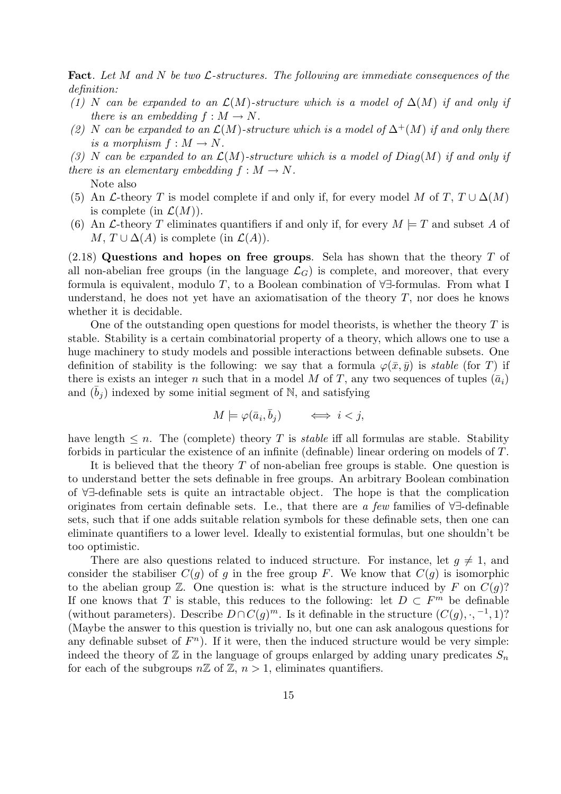**Fact.** Let M and N be two  $\mathcal{L}$ -structures. The following are immediate consequences of the definition:

- (1) N can be expanded to an  $\mathcal{L}(M)$ -structure which is a model of  $\Delta(M)$  if and only if there is an embedding  $f : M \to N$ .
- (2) N can be expanded to an  $\mathcal{L}(M)$ -structure which is a model of  $\Delta^+(M)$  if and only there is a morphism  $f : M \to N$ .
- (3) N can be expanded to an  $\mathcal{L}(M)$ -structure which is a model of  $Diag(M)$  if and only if there is an elementary embedding  $f : M \to N$ .
	- Note also
- (5) An  $\mathcal L$ -theory T is model complete if and only if, for every model M of T,  $T \cup \Delta(M)$ is complete (in  $\mathcal{L}(M)$ ).
- (6) An L-theory T eliminates quantifiers if and only if, for every  $M \models T$  and subset A of  $M, T \cup \Delta(A)$  is complete (in  $\mathcal{L}(A)$ ).

 $(2.18)$  Questions and hopes on free groups. Sela has shown that the theory T of all non-abelian free groups (in the language  $\mathcal{L}_G$ ) is complete, and moreover, that every formula is equivalent, modulo T, to a Boolean combination of  $\forall \exists$ -formulas. From what I understand, he does not yet have an axiomatisation of the theory  $T$ , nor does he knows whether it is decidable.

One of the outstanding open questions for model theorists, is whether the theory  $T$  is stable. Stability is a certain combinatorial property of a theory, which allows one to use a huge machinery to study models and possible interactions between definable subsets. One definition of stability is the following: we say that a formula  $\varphi(\bar{x}, \bar{y})$  is stable (for T) if there is exists an integer n such that in a model M of T, any two sequences of tuples  $(\bar{a}_i)$ and  $(b_i)$  indexed by some initial segment of N, and satisfying

$$
M \models \varphi(\bar{a}_i, \bar{b}_j) \qquad \Longleftrightarrow \ i < j,
$$

have length  $\leq n$ . The (complete) theory T is *stable* iff all formulas are stable. Stability forbids in particular the existence of an infinite (definable) linear ordering on models of T.

It is believed that the theory T of non-abelian free groups is stable. One question is to understand better the sets definable in free groups. An arbitrary Boolean combination of ∀∃-definable sets is quite an intractable object. The hope is that the complication originates from certain definable sets. I.e., that there are a few families of ∀∃-definable sets, such that if one adds suitable relation symbols for these definable sets, then one can eliminate quantifiers to a lower level. Ideally to existential formulas, but one shouldn't be too optimistic.

There are also questions related to induced structure. For instance, let  $g \neq 1$ , and consider the stabiliser  $C(g)$  of g in the free group F. We know that  $C(g)$  is isomorphic to the abelian group  $\mathbb{Z}$ . One question is: what is the structure induced by F on  $C(g)$ ? If one knows that T is stable, this reduces to the following: let  $D \subset F^m$  be definable (without parameters). Describe  $D \cap C(g)^m$ . Is it definable in the structure  $(C(g), \cdot, -1, 1)$ ? (Maybe the answer to this question is trivially no, but one can ask analogous questions for any definable subset of  $F<sup>n</sup>$ ). If it were, then the induced structure would be very simple: indeed the theory of  $\mathbb Z$  in the language of groups enlarged by adding unary predicates  $S_n$ for each of the subgroups  $n\mathbb{Z}$  of  $\mathbb{Z}, n > 1$ , eliminates quantifiers.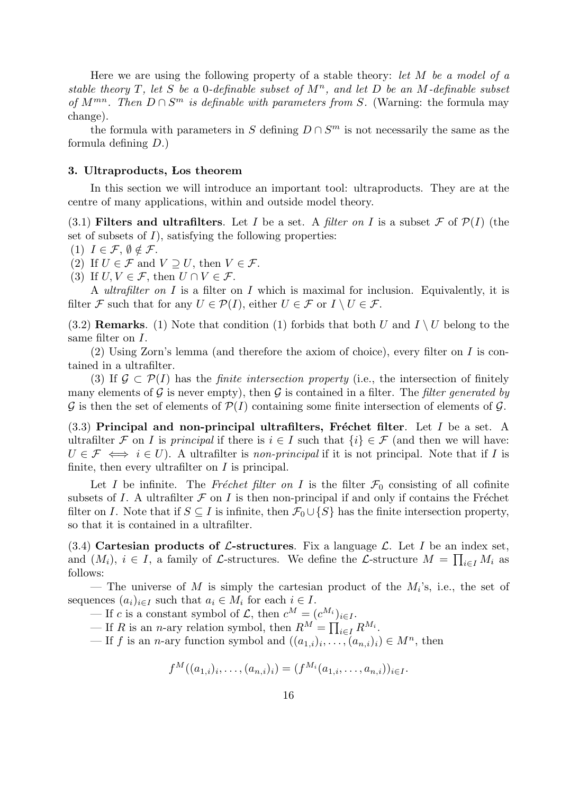Here we are using the following property of a stable theory: let  $M$  be a model of a stable theory T, let S be a 0-definable subset of  $M<sup>n</sup>$ , and let D be an M-definable subset of  $M^{mn}$ . Then  $D \cap S^m$  is definable with parameters from S. (Warning: the formula may change).

the formula with parameters in S defining  $D \cap S^m$  is not necessarily the same as the formula defining D.)

#### 3. Ultraproducts, Los theorem

In this section we will introduce an important tool: ultraproducts. They are at the centre of many applications, within and outside model theory.

(3.1) Filters and ultrafilters. Let I be a set. A filter on I is a subset  $\mathcal F$  of  $\mathcal P(I)$  (the set of subsets of  $I$ ), satisfying the following properties:

(1) 
$$
I \in \mathcal{F}, \emptyset \notin \mathcal{F}.
$$

(2) If  $U \in \mathcal{F}$  and  $V \supseteq U$ , then  $V \in \mathcal{F}$ .

(3) If  $U, V \in \mathcal{F}$ , then  $U \cap V \in \mathcal{F}$ .

A *ultrafilter on I* is a filter on I which is maximal for inclusion. Equivalently, it is filter F such that for any  $U \in \mathcal{P}(I)$ , either  $U \in \mathcal{F}$  or  $I \setminus U \in \mathcal{F}$ .

(3.2) Remarks. (1) Note that condition (1) forbids that both U and  $I \setminus U$  belong to the same filter on I.

 $(2)$  Using Zorn's lemma (and therefore the axiom of choice), every filter on I is contained in a ultrafilter.

(3) If  $\mathcal{G} \subset \mathcal{P}(I)$  has the *finite intersection property* (i.e., the intersection of finitely many elements of G is never empty), then G is contained in a filter. The filter generated by  $\mathcal G$  is then the set of elements of  $\mathcal P(I)$  containing some finite intersection of elements of  $\mathcal G$ .

 $(3.3)$  Principal and non-principal ultrafilters, Fréchet filter. Let I be a set. A ultrafilter F on I is principal if there is  $i \in I$  such that  $\{i\} \in \mathcal{F}$  (and then we will have:  $U \in \mathcal{F} \iff i \in U$ ). A ultrafilter is non-principal if it is not principal. Note that if I is finite, then every ultrafilter on  $I$  is principal.

Let I be infinite. The Fréchet filter on I is the filter  $\mathcal{F}_0$  consisting of all cofinite subsets of I. A ultrafilter  $\mathcal F$  on I is then non-principal if and only if contains the Fréchet filter on I. Note that if  $S \subseteq I$  is infinite, then  $\mathcal{F}_0 \cup \{S\}$  has the finite intersection property, so that it is contained in a ultrafilter.

(3.4) Cartesian products of  $\mathcal{L}\text{-structures. Fix a language } \mathcal{L}$ . Let I be an index set, and  $(M_i)$ ,  $i \in I$ , a family of  $\mathcal{L}$ -structures. We define the  $\mathcal{L}$ -structure  $M = \prod_{i \in I} M_i$  as follows:

— The universe of M is simply the cartesian product of the  $M_i$ 's, i.e., the set of sequences  $(a_i)_{i\in I}$  such that  $a_i \in M_i$  for each  $i \in I$ .

— If c is a constant symbol of  $\mathcal{L}$ , then  $c^M = (c^{M_i})_{i \in I}$ .

— If R is an n-ary relation symbol, then  $R^M = \prod_{i \in I} R^{M_i}$ .

— If f is an n-ary function symbol and  $((a_{1,i})_i, \ldots, (a_{n,i})_i) \in M^n$ , then

$$
f^M((a_{1,i})_i,\ldots,(a_{n,i})_i)=(f^{M_i}(a_{1,i},\ldots,a_{n,i}))_{i\in I}.
$$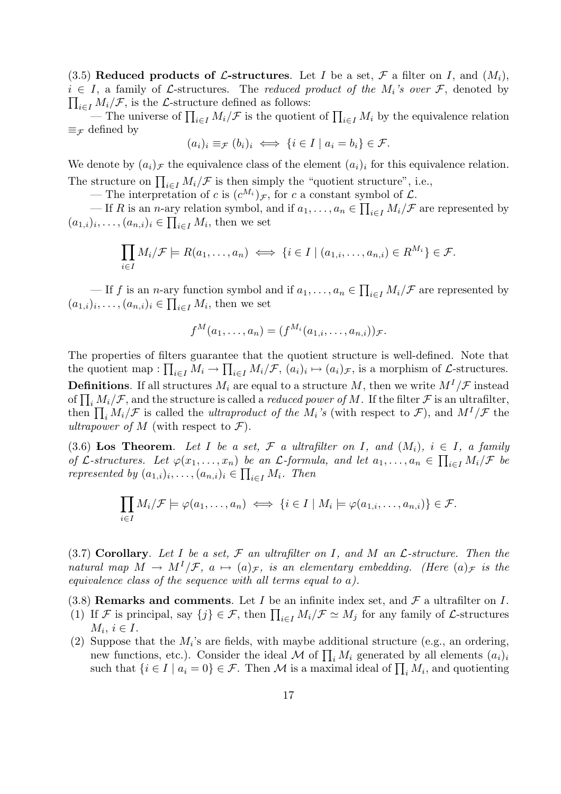(3.5) Reduced products of L-structures. Let I be a set,  $\mathcal F$  a filter on I, and  $(M_i)$ ,  $\prod_{i\in I} M_i/\mathcal{F}$ , is the L-structure defined as follows:  $i \in I$ , a family of L-structures. The reduced product of the  $M_i$ 's over F, denoted by

— The universe of  $\prod_{i\in I} M_i/\mathcal{F}$  is the quotient of  $\prod_{i\in I} M_i$  by the equivalence relation  $\equiv_{\mathcal{F}}$  defined by

$$
(a_i)_i \equiv_{\mathcal{F}} (b_i)_i \iff \{i \in I \mid a_i = b_i\} \in \mathcal{F}.
$$

We denote by  $(a_i)$  the equivalence class of the element  $(a_i)_i$  for this equivalence relation. The structure on  $\prod_{i\in I} M_i/\mathcal{F}$  is then simply the "quotient structure", i.e.,

— The interpretation of c is  $(c^{M_i})_{\mathcal{F}}$ , for c a constant symbol of  $\mathcal{L}$ .

— If R is an n-ary relation symbol, and if  $a_1, \ldots, a_n \in \prod_{i \in I} M_i/\mathcal{F}$  are represented by  $(a_{1,i})_i, \ldots, (a_{n,i})_i \in \prod_{i \in I} M_i$ , then we set

$$
\prod_{i\in I} M_i/\mathcal{F} \models R(a_1,\ldots,a_n) \iff \{i\in I \mid (a_{1,i},\ldots,a_{n,i})\in R^{M_i}\} \in \mathcal{F}.
$$

— If f is an *n*-ary function symbol and if  $a_1, \ldots, a_n \in \prod_{i \in I} M_i/\mathcal{F}$  are represented by  $(a_{1,i})_i, \ldots, (a_{n,i})_i \in \prod_{i \in I} M_i$ , then we set

$$
f^M(a_1,\ldots,a_n)=(f^{M_i}(a_{1,i},\ldots,a_{n,i}))_{\mathcal{F}}.
$$

The properties of filters guarantee that the quotient structure is well-defined. Note that the quotient map :  $\prod_{i\in I} M_i \to \prod_{i\in I} M_i/\mathcal{F}$ ,  $(a_i)_i \mapsto (a_i)_{\mathcal{F}}$ , is a morphism of  $\mathcal{L}$ -structures. **Definitions.** If all structures  $M_i$  are equal to a structure M, then we write  $M^I/\mathcal{F}$  instead of  $\prod_i M_i/\mathcal{F}$ , and the structure is called a *reduced power of M*. If the filter  $\mathcal{F}$  is an ultrafilter, then  $\prod_i M_i/\mathcal{F}$  is called the *ultraproduct of the M<sub>i</sub>'s* (with respect to  $\mathcal{F}$ ), and  $M^I/\mathcal{F}$  the ultrapower of M (with respect to  $\mathcal{F}$ ).

(3.6) Los Theorem. Let I be a set, F a ultrafilter on I, and  $(M_i)$ ,  $i \in I$ , a family of L-structures. Let  $\varphi(x_1,\ldots,x_n)$  be an L-formula, and let  $a_1,\ldots,a_n \in \prod_{i\in I} M_i/\mathcal{F}$  be represented by  $(a_{1,i})_i, \ldots, (a_{n,i})_i \in \prod_{i \in I} M_i$ . Then

$$
\prod_{i\in I} M_i/\mathcal{F} \models \varphi(a_1,\ldots,a_n) \iff \{i\in I \mid M_i \models \varphi(a_{1,i},\ldots,a_{n,i})\} \in \mathcal{F}.
$$

(3.7) Corollary. Let I be a set,  $\mathcal F$  an ultrafilter on I, and M an  $\mathcal L$ -structure. Then the natural map  $M \to M^I/\mathcal{F}$ ,  $a \mapsto (a)\mathcal{F}$ , is an elementary embedding. (Here  $(a)\mathcal{F}$  is the equivalence class of the sequence with all terms equal to a).

(3.8) Remarks and comments. Let I be an infinite index set, and  $\mathcal F$  a ultrafilter on I.

- (1) If F is principal, say  $\{j\} \in \mathcal{F}$ , then  $\prod_{i \in I} M_i / \mathcal{F} \simeq M_j$  for any family of L-structures  $M_i, i \in I.$
- (2) Suppose that the  $M_i$ 's are fields, with maybe additional structure (e.g., an ordering, new functions, etc.). Consider the ideal M of  $\prod_i M_i$  generated by all elements  $(a_i)_i$ such that  $\{i \in I \mid a_i = 0\} \in \mathcal{F}$ . Then M is a maximal ideal of  $\prod_i M_i$ , and quotienting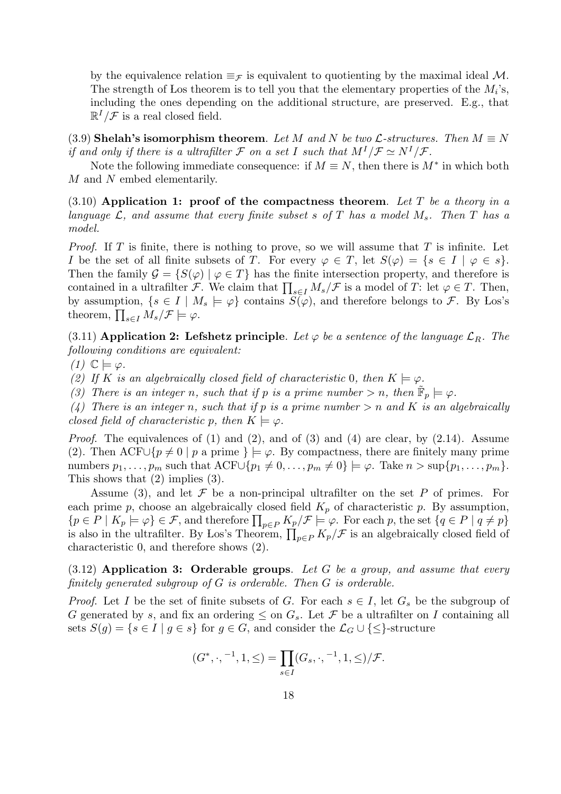by the equivalence relation  $\equiv_{\mathcal{F}}$  is equivalent to quotienting by the maximal ideal M. The strength of Los theorem is to tell you that the elementary properties of the  $M_i$ 's, including the ones depending on the additional structure, are preserved. E.g., that  $\mathbb{R}^{I}/\mathcal{F}$  is a real closed field.

(3.9) Shelah's isomorphism theorem. Let M and N be two  $\mathcal{L}$ -structures. Then  $M \equiv N$ if and only if there is a ultrafilter F on a set I such that  $M^I/\mathcal{F} \simeq N^I/\mathcal{F}$ .

Note the following immediate consequence: if  $M \equiv N$ , then there is  $M^*$  in which both M and N embed elementarily.

 $(3.10)$  Application 1: proof of the compactness theorem. Let T be a theory in a language  $\mathcal{L}$ , and assume that every finite subset s of T has a model  $M_s$ . Then T has a model.

*Proof.* If T is finite, there is nothing to prove, so we will assume that T is infinite. Let I be the set of all finite subsets of T. For every  $\varphi \in T$ , let  $S(\varphi) = \{s \in I \mid \varphi \in s\}.$ Then the family  $\mathcal{G} = \{ S(\varphi) \mid \varphi \in T \}$  has the finite intersection property, and therefore is contained in a ultrafilter F. We claim that  $\prod_{s\in I} M_s/\mathcal{F}$  is a model of T: let  $\varphi \in T$ . Then, by assumption,  $\{s \in I \mid M_s \models \varphi\}$  contains  $S(\varphi)$ , and therefore belongs to F. By Los's theorem,  $\prod_{s\in I} M_s/\mathcal{F} \models \varphi$ .

(3.11) Application 2: Lefshetz principle. Let  $\varphi$  be a sentence of the language  $\mathcal{L}_R$ . The following conditions are equivalent:

 $(1)$   $\mathbb{C} \models \varphi$ .

(2) If K is an algebraically closed field of characteristic 0, then  $K \models \varphi$ .

(3) There is an integer n, such that if p is a prime number > n, then  $\tilde{\mathbb{F}}_p \models \varphi$ .

(4) There is an integer n, such that if p is a prime number  $> n$  and K is an algebraically closed field of characteristic p, then  $K \models \varphi$ .

*Proof.* The equivalences of (1) and (2), and of (3) and (4) are clear, by  $(2.14)$ . Assume (2). Then ACF∪{ $p \neq 0 \mid p$  a prime }  $\models \varphi$ . By compactness, there are finitely many prime numbers  $p_1, \ldots, p_m$  such that  $\mathrm{ACF} \cup \{p_1 \neq 0, \ldots, p_m \neq 0\} \models \varphi$ . Take  $n > \sup\{p_1, \ldots, p_m\}$ . This shows that (2) implies (3).

Assume (3), and let  $\mathcal F$  be a non-principal ultrafilter on the set P of primes. For each prime p, choose an algebraically closed field  $K_p$  of characteristic p. By assumption,  ${p \in P \mid K_p \models \varphi} \in \mathcal{F}$ , and therefore  $\prod_{p \in P} K_p/\mathcal{F} \models \varphi$ . For each p, the set  ${q \in P \mid q \neq p}$ is also in the ultrafilter. By Los's Theorem,  $\prod_{p\in P} K_p/\mathcal{F}$  is an algebraically closed field of characteristic 0, and therefore shows (2).

 $(3.12)$  Application 3: Orderable groups. Let G be a group, and assume that every finitely generated subgroup of  $G$  is orderable. Then  $G$  is orderable.

*Proof.* Let I be the set of finite subsets of G. For each  $s \in I$ , let  $G_s$  be the subgroup of G generated by s, and fix an ordering  $\leq$  on  $G_s$ . Let F be a ultrafilter on I containing all sets  $S(g) = \{s \in I \mid g \in s\}$  for  $g \in G$ , and consider the  $\mathcal{L}_G \cup \{\leq\}$ -structure

$$
(G^*,\cdot,{}^{-1},1,\leq)=\prod_{s\in I}(G_s,\cdot,{}^{-1},1,\leq)/\mathcal{F}.
$$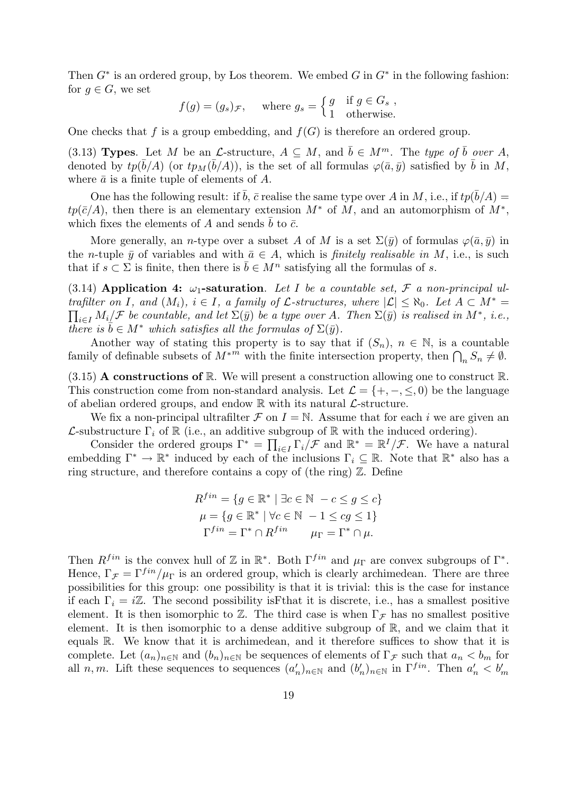Then  $G^*$  is an ordered group, by Los theorem. We embed G in  $G^*$  in the following fashion: for  $g \in G$ , we set

$$
f(g) = (g_s)_{\mathcal{F}},
$$
 where  $g_s = \begin{cases} g & \text{if } g \in G_s, \\ 1 & \text{otherwise.} \end{cases}$ 

One checks that f is a group embedding, and  $f(G)$  is therefore an ordered group.

(3.13) Types. Let M be an L-structure,  $A \subseteq M$ , and  $\bar{b} \in M^m$ . The type of  $\bar{b}$  over A, denoted by  $tp(\bar{b}/A)$  (or  $tp_M(\bar{b}/A)$ ), is the set of all formulas  $\varphi(\bar{a}, \bar{y})$  satisfied by  $\bar{b}$  in M, where  $\bar{a}$  is a finite tuple of elements of A.

One has the following result: if  $\bar{b}$ ,  $\bar{c}$  realise the same type over A in M, i.e., if  $tp(\bar{b}/A)$  =  $tp(\bar{c}/A)$ , then there is an elementary extension  $M^*$  of M, and an automorphism of  $M^*$ , which fixes the elements of A and sends b to  $\bar{c}$ .

More generally, an *n*-type over a subset A of M is a set  $\Sigma(\bar{y})$  of formulas  $\varphi(\bar{a}, \bar{y})$  in the *n*-tuple  $\bar{y}$  of variables and with  $\bar{a} \in A$ , which is *finitely realisable in* M, i.e., is such that if  $s \subset \Sigma$  is finite, then there is  $\overline{b} \in M^n$  satisfying all the formulas of s.

(3.14) Application 4:  $\omega_1$ -saturation. Let I be a countable set, F a non-principal ultrafilter on I, and  $(M_i)$ ,  $i \in I$ , a family of  $\mathcal{L}$ -structures, where  $|\mathcal{L}| \leq \aleph_0$ . Let  $A \subset M^* =$  $\prod_{i\in I}M_i\mathcal{F}$  be countable, and let  $\Sigma(\bar{y})$  be a type over A. Then  $\Sigma(\bar{y})$  is realised in  $M^*$ , i.e., there is  $\bar{b} \in M^*$  which satisfies all the formulas of  $\Sigma(\bar{y})$ .

Another way of stating this property is to say that if  $(S_n)$ ,  $n \in \mathbb{N}$ , is a countable family of definable subsets of  $M^{*m}$  with the finite intersection property, then  $\bigcap_n S_n \neq \emptyset$ .

 $(3.15)$  **A constructions of R.** We will present a construction allowing one to construct R. This construction come from non-standard analysis. Let  $\mathcal{L} = \{+, -, \leq, 0\}$  be the language of abelian ordered groups, and endow  $\mathbb R$  with its natural  $\mathcal L$ -structure.

We fix a non-principal ultrafilter  $\mathcal F$  on  $I = \mathbb N$ . Assume that for each i we are given an  $\mathcal{L}$ -substructure  $\Gamma_i$  of  $\mathbb R$  (i.e., an additive subgroup of  $\mathbb R$  with the induced ordering).

Consider the ordered groups  $\Gamma^* = \prod_{i \in I} \Gamma_i / \mathcal{F}$  and  $\mathbb{R}^* = \mathbb{R}^I / \mathcal{F}$ . We have a natural embedding  $\Gamma^* \to \mathbb{R}^*$  induced by each of the inclusions  $\Gamma_i \subseteq \mathbb{R}$ . Note that  $\mathbb{R}^*$  also has a ring structure, and therefore contains a copy of (the ring)  $\mathbb{Z}$ . Define

$$
R^{fin} = \{ g \in \mathbb{R}^* \mid \exists c \in \mathbb{N} \ -c \le g \le c \}
$$

$$
\mu = \{ g \in \mathbb{R}^* \mid \forall c \in \mathbb{N} \ -1 \le cg \le 1 \}
$$

$$
\Gamma^{fin} = \Gamma^* \cap R^{fin} \qquad \mu_{\Gamma} = \Gamma^* \cap \mu.
$$

Then  $R^{fin}$  is the convex hull of  $\mathbb Z$  in  $\mathbb R^*$ . Both  $\Gamma^{fin}$  and  $\mu_{\Gamma}$  are convex subgroups of  $\Gamma^*$ . Hence,  $\Gamma_{\mathcal{F}} = \Gamma^{fin}/\mu_{\Gamma}$  is an ordered group, which is clearly archimedean. There are three possibilities for this group: one possibility is that it is trivial: this is the case for instance if each  $\Gamma_i = i\mathbb{Z}$ . The second possibility is Fthat it is discrete, i.e., has a smallest positive element. It is then isomorphic to  $\mathbb{Z}$ . The third case is when  $\Gamma_{\mathcal{F}}$  has no smallest positive element. It is then isomorphic to a dense additive subgroup of  $\mathbb{R}$ , and we claim that it equals R. We know that it is archimedean, and it therefore suffices to show that it is complete. Let  $(a_n)_{n\in\mathbb{N}}$  and  $(b_n)_{n\in\mathbb{N}}$  be sequences of elements of  $\Gamma_{\mathcal{F}}$  such that  $a_n < b_m$  for all n, m. Lift these sequences to sequences  $(a'_n)_{n\in\mathbb{N}}$  and  $(b'_n)_{n\in\mathbb{N}}$  in  $\Gamma^{fin}$ . Then  $a'_n < b'_m$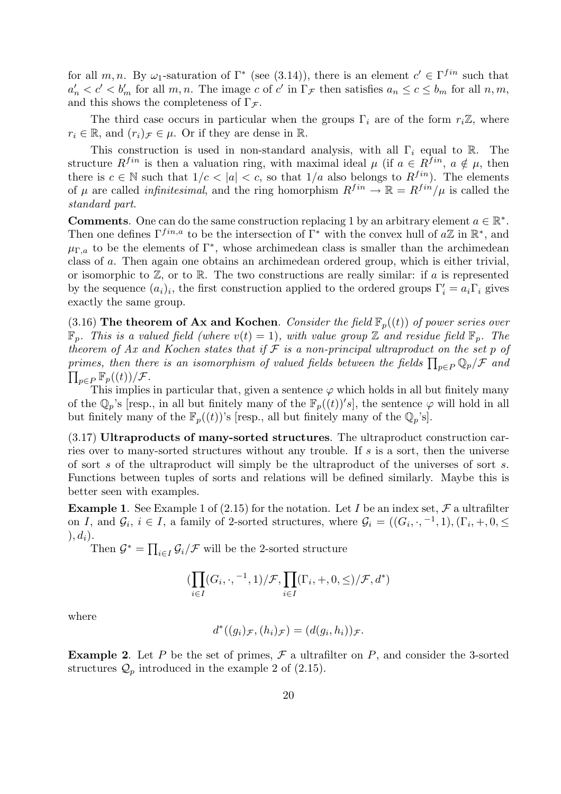for all m, n. By  $\omega_1$ -saturation of  $\Gamma^*$  (see (3.14)), there is an element  $c' \in \Gamma^{fin}$  such that  $a'_n < c' < b'_m$  for all m, n. The image c of c' in  $\Gamma_{\mathcal{F}}$  then satisfies  $a_n \leq c \leq b_m$  for all  $n, m$ , and this shows the completeness of  $\Gamma_{\mathcal{F}}$ .

The third case occurs in particular when the groups  $\Gamma_i$  are of the form  $r_i\mathbb{Z}$ , where  $r_i \in \mathbb{R}$ , and  $(r_i)_{\mathcal{F}} \in \mu$ . Or if they are dense in  $\mathbb{R}$ .

This construction is used in non-standard analysis, with all  $\Gamma_i$  equal to R. The structure  $R^{fin}$  is then a valuation ring, with maximal ideal  $\mu$  (if  $a \in R^{fin}$ ,  $a \notin \mu$ , then there is  $c \in \mathbb{N}$  such that  $1/c < |a| < c$ , so that  $1/a$  also belongs to  $R^{fin}$ ). The elements of  $\mu$  are called *infinitesimal*, and the ring homorphism  $R^{fin} \to \mathbb{R} = R^{fin}/\mu$  is called the standard part.

**Comments.** One can do the same construction replacing 1 by an arbitrary element  $a \in \mathbb{R}^*$ . Then one defines  $\Gamma^{fin,a}$  to be the intersection of  $\Gamma^*$  with the convex hull of  $a\mathbb{Z}$  in  $\mathbb{R}^*$ , and  $\mu_{\Gamma,a}$  to be the elements of  $\Gamma^*$ , whose archimedean class is smaller than the archimedean class of a. Then again one obtains an archimedean ordered group, which is either trivial, or isomorphic to  $\mathbb{Z}$ , or to  $\mathbb{R}$ . The two constructions are really similar: if a is represented by the sequence  $(a_i)_i$ , the first construction applied to the ordered groups  $\Gamma'_i = a_i \Gamma_i$  gives exactly the same group.

(3.16) The theorem of Ax and Kochen. Consider the field  $\mathbb{F}_p((t))$  of power series over  $\mathbb{F}_p$ . This is a valued field (where  $v(t) = 1$ ), with value group Z and residue field  $\mathbb{F}_p$ . The theorem of Ax and Kochen states that if  $\mathcal F$  is a non-principal ultraproduct on the set p of primes, then there is an isomorphism of valued fields between the fields  $\prod_{p\in P}\mathbb{Q}_p/\mathcal{F}$  and  $\prod_{p\in P} \mathbb{F}_p((t))/\mathcal{F}.$ 

This implies in particular that, given a sentence  $\varphi$  which holds in all but finitely many of the  $\mathbb{Q}_p$ 's [resp., in all but finitely many of the  $\mathbb{F}_p((t))$ 's], the sentence  $\varphi$  will hold in all but finitely many of the  $\mathbb{F}_p((t))$ 's [resp., all but finitely many of the  $\mathbb{Q}_p$ 's].

(3.17) Ultraproducts of many-sorted structures. The ultraproduct construction carries over to many-sorted structures without any trouble. If s is a sort, then the universe of sort s of the ultraproduct will simply be the ultraproduct of the universes of sort s. Functions between tuples of sorts and relations will be defined similarly. Maybe this is better seen with examples.

**Example 1.** See Example 1 of (2.15) for the notation. Let I be an index set, F a ultrafilter on I, and  $\mathcal{G}_i$ ,  $i \in I$ , a family of 2-sorted structures, where  $\mathcal{G}_i = ((G_i, \cdot, -1, 1), (\Gamma_i, +, 0, \leq$  $), d_i).$ 

Then  $\mathcal{G}^* = \prod_{i \in I} \mathcal{G}_i / \mathcal{F}$  will be the 2-sorted structure

$$
(\prod_{i\in I}(G_i,\cdot,{}^{-1},1)/\mathcal{F},\prod_{i\in I}(\Gamma_i,+,0,\leq)/\mathcal{F},d^*)
$$

where

$$
d^*((g_i)_{\mathcal{F}},(h_i)_{\mathcal{F}})=(d(g_i,h_i))_{\mathcal{F}}.
$$

**Example 2.** Let P be the set of primes,  $\mathcal{F}$  a ultrafilter on P, and consider the 3-sorted structures  $\mathcal{Q}_p$  introduced in the example 2 of (2.15).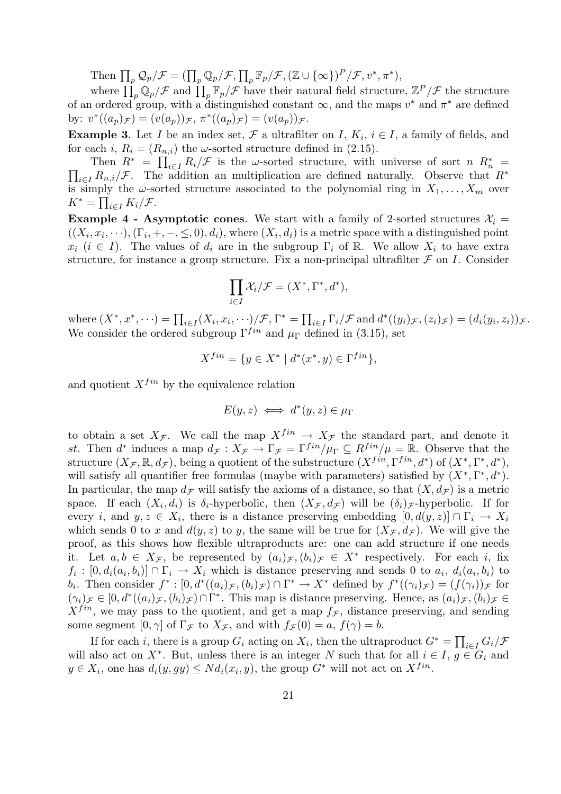Then  $\prod_p \mathcal{Q}_p/\mathcal{F} = (\prod_p \mathbb{Q}_p/\mathcal{F}, \prod_p \mathbb{F}_p/\mathcal{F}, (\mathbb{Z} \cup {\infty})^P/\mathcal{F}, v^*, \pi^*),$ 

where  $\prod_p \mathbb{Q}_p/\mathcal{F}$  and  $\prod_p \mathbb{F}_p/\mathcal{F}$  have their natural field structure,  $\mathbb{Z}^P/\mathcal{F}$  the structure of an ordered group, with a distinguished constant  $\infty$ , and the maps  $v^*$  and  $\pi^*$  are defined by:  $v^*((a_p)_{\mathcal{F}}) = (v(a_p))_{\mathcal{F}}, \pi^*((a_p)_{\mathcal{F}}) = (v(a_p))_{\mathcal{F}}.$ 

**Example 3.** Let I be an index set,  $\mathcal{F}$  a ultrafilter on I,  $K_i$ ,  $i \in I$ , a family of fields, and for each i,  $R_i = (R_{n,i})$  the  $\omega$ -sorted structure defined in (2.15).

Then  $R^* = \prod_{i \in I} R_i / \mathcal{F}$  is the w-sorted structure, with universe of sort n  $R_n^*$ Then  $R^* = \prod_{i \in I} R_i / \mathcal{F}$  is the  $\omega$ -sorted structure, with universe of sort  $n R_n^* = \prod_{i \in I} R_{n,i} / \mathcal{F}$ . The addition an multiplication are defined naturally. Observe that  $R^*$ is simply the  $\omega$ -sorted structure associated to the polynomial ring in  $X_1, \ldots, X_m$  over  $K^* = \prod_{i \in I} K_i / \mathcal{F}.$ 

**Example 4 - Asymptotic cones.** We start with a family of 2-sorted structures  $\mathcal{X}_i$  =  $((X_i, x_i, \dots), (\Gamma_i, +, -, \leq, 0), d_i)$ , where  $(X_i, d_i)$  is a metric space with a distinguished point  $x_i$  ( $i \in I$ ). The values of  $d_i$  are in the subgroup  $\Gamma_i$  of R. We allow  $X_i$  to have extra structure, for instance a group structure. Fix a non-principal ultrafilter  $\mathcal F$  on I. Consider

$$
\prod_{i\in I} \mathcal{X}_i/\mathcal{F}=(X^*,\Gamma^*,d^*),
$$

where  $(X^*, x^*, \dots) = \prod_{i \in I} (X_i, x_i, \dots) / \mathcal{F}, \Gamma^* = \prod_{i \in I} \Gamma_i / \mathcal{F}$  and  $d^*(y_i)_{\mathcal{F}}, (z_i)_{\mathcal{F}} = (d_i(y_i, z_i))_{\mathcal{F}}.$ We consider the ordered subgroup  $\Gamma^{fin}$  and  $\mu_{\Gamma}$  defined in (3.15), set

$$
X^{fin} = \{ y \in X^* \mid d^*(x^*, y) \in \Gamma^{fin} \},
$$

and quotient  $X^{fin}$  by the equivalence relation

$$
E(y, z) \iff d^*(y, z) \in \mu_\Gamma
$$

to obtain a set  $X_{\mathcal{F}}$ . We call the map  $X^{fin} \to X_{\mathcal{F}}$  the standard part, and denote it st. Then  $d^*$  induces a map  $d_{\mathcal{F}} : X_{\mathcal{F}} \to \Gamma_{\mathcal{F}} = \Gamma^{fin}/\mu_{\Gamma} \subseteq R^{fin}/\mu = \mathbb{R}$ . Observe that the structure  $(X_{\mathcal{F}}, \mathbb{R}, d_{\mathcal{F}})$ , being a quotient of the substructure  $(X^{fin}, \Gamma^{fin}, d^*)$  of  $(X^*, \Gamma^*, d^*)$ , will satisfy all quantifier free formulas (maybe with parameters) satisfied by  $(X^*, \Gamma^*, d^*)$ . In particular, the map  $d_{\mathcal{F}}$  will satisfy the axioms of a distance, so that  $(X, d_{\mathcal{F}})$  is a metric space. If each  $(X_i, d_i)$  is  $\delta_i$ -hyperbolic, then  $(X_{\mathcal{F}}, d_{\mathcal{F}})$  will be  $(\delta_i)_{\mathcal{F}}$ -hyperbolic. If for every *i*, and  $y, z \in X_i$ , there is a distance preserving embedding  $[0, d(y, z)] \cap \Gamma_i \to X_i$ which sends 0 to x and  $d(y, z)$  to y, the same will be true for  $(X_{\mathcal{F}}, d_{\mathcal{F}})$ . We will give the proof, as this shows how flexible ultraproducts are: one can add structure if one needs it. Let  $a, b \in X_{\mathcal{F}}$ , be represented by  $(a_i)_{\mathcal{F}}$ ,  $(b_i)_{\mathcal{F}} \in X^*$  respectively. For each i, fix  $f_i : [0, d_i(a_i, b_i)] \cap \Gamma_i \to X_i$  which is distance preserving and sends 0 to  $a_i$ ,  $d_i(a_i, b_i)$  to b<sub>i</sub>. Then consider  $f^*: [0, d^*((a_i)\mathcal{F}, (b_i)\mathcal{F}) \cap \Gamma^* \to X^*$  defined by  $f^*((\gamma_i)\mathcal{F}) = (f(\gamma_i))\mathcal{F}$  for  $(\gamma_i)_{\mathcal{F}} \in [0, d^*((a_i)_{\mathcal{F}}, (b_i)_{\mathcal{F}}) \cap \Gamma^*$ . This map is distance preserving. Hence, as  $(a_i)_{\mathcal{F}}, (b_i)_{\mathcal{F}} \in$  $X^{fin}$ , we may pass to the quotient, and get a map  $f_{\mathcal{F}}$ , distance preserving, and sending some segment  $[0, \gamma]$  of  $\Gamma_{\mathcal{F}}$  to  $X_{\mathcal{F}}$ , and with  $f_{\mathcal{F}}(0) = a, f(\gamma) = b$ .

If for each i, there is a group  $G_i$  acting on  $X_i$ , then the ultraproduct  $G^* = \prod_{i \in I} G_i / \mathcal{F}$ will also act on  $X^*$ . But, unless there is an integer N such that for all  $i \in I$ ,  $g \in G_i$  and  $y \in X_i$ , one has  $d_i(y, gy) \leq N d_i(x_i, y)$ , the group  $G^*$  will not act on  $X^{fin}$ .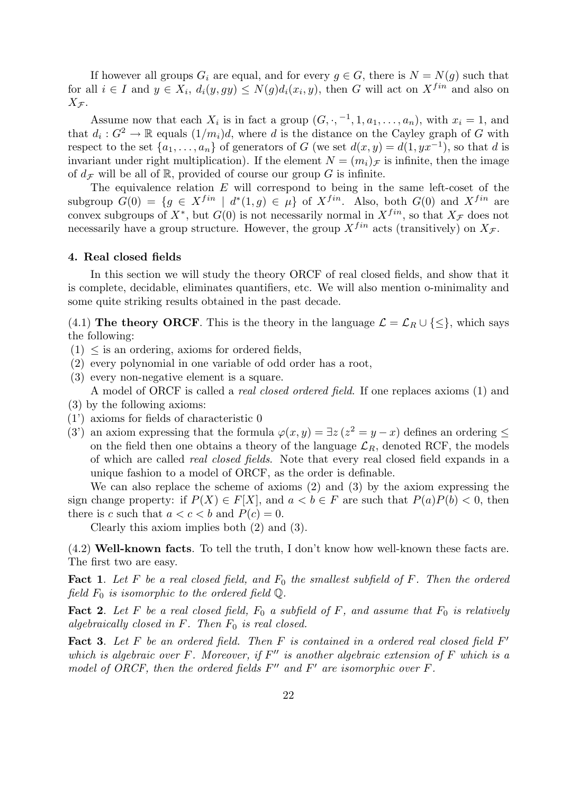If however all groups  $G_i$  are equal, and for every  $g \in G$ , there is  $N = N(g)$  such that for all  $i \in I$  and  $y \in X_i$ ,  $d_i(y, gy) \le N(g)d_i(x_i, y)$ , then G will act on  $X^{fin}$  and also on  $X_{\mathcal{F}}$ .

Assume now that each  $X_i$  is in fact a group  $(G, \cdot, -1, 1, a_1, \ldots, a_n)$ , with  $x_i = 1$ , and that  $d_i: G^2 \to \mathbb{R}$  equals  $(1/m_i)d$ , where d is the distance on the Cayley graph of G with respect to the set  $\{a_1, \ldots, a_n\}$  of generators of G (we set  $d(x, y) = d(1, yx^{-1})$ , so that d is invariant under right multiplication). If the element  $N = (m_i)_{\mathcal{F}}$  is infinite, then the image of  $d_{\mathcal{F}}$  will be all of R, provided of course our group G is infinite.

The equivalence relation  $E$  will correspond to being in the same left-coset of the subgroup  $G(0) = \{g \in X^{fin} \mid d^*(1,g) \in \mu\}$  of  $X^{fin}$ . Also, both  $G(0)$  and  $X^{fin}$  are convex subgroups of  $X^*$ , but  $G(0)$  is not necessarily normal in  $X^{fin}$ , so that  $X_{\mathcal{F}}$  does not necessarily have a group structure. However, the group  $X^{fin}$  acts (transitively) on  $X_{\mathcal{F}}$ .

#### 4. Real closed fields

In this section we will study the theory ORCF of real closed fields, and show that it is complete, decidable, eliminates quantifiers, etc. We will also mention o-minimality and some quite striking results obtained in the past decade.

(4.1) The theory ORCF. This is the theory in the language  $\mathcal{L} = \mathcal{L}_R \cup \{\leq\}$ , which says the following:

- $(1)$   $\leq$  is an ordering, axioms for ordered fields,
- (2) every polynomial in one variable of odd order has a root,
- (3) every non-negative element is a square.
- A model of ORCF is called a real closed ordered field. If one replaces axioms (1) and
- (3) by the following axioms:
- (1') axioms for fields of characteristic 0
- (3') an axiom expressing that the formula  $\varphi(x, y) = \exists z (z^2 = y x)$  defines an ordering  $\leq$ on the field then one obtains a theory of the language  $\mathcal{L}_R$ , denoted RCF, the models of which are called real closed fields. Note that every real closed field expands in a unique fashion to a model of ORCF, as the order is definable.

We can also replace the scheme of axioms (2) and (3) by the axiom expressing the sign change property: if  $P(X) \in F[X]$ , and  $a < b \in F$  are such that  $P(a)P(b) < 0$ , then there is c such that  $a < c < b$  and  $P(c) = 0$ .

Clearly this axiom implies both (2) and (3).

(4.2) Well-known facts. To tell the truth, I don't know how well-known these facts are. The first two are easy.

**Fact 1.** Let F be a real closed field, and  $F_0$  the smallest subfield of F. Then the ordered field  $F_0$  is isomorphic to the ordered field  $\mathbb{Q}$ .

**Fact 2.** Let F be a real closed field,  $F_0$  a subfield of F, and assume that  $F_0$  is relatively algebraically closed in  $F$ . Then  $F_0$  is real closed.

Fact 3. Let  $F$  be an ordered field. Then  $F$  is contained in a ordered real closed field  $F'$ which is algebraic over  $F$ . Moreover, if  $F''$  is another algebraic extension of  $F$  which is a model of ORCF, then the ordered fields  $F''$  and  $F'$  are isomorphic over  $F$ .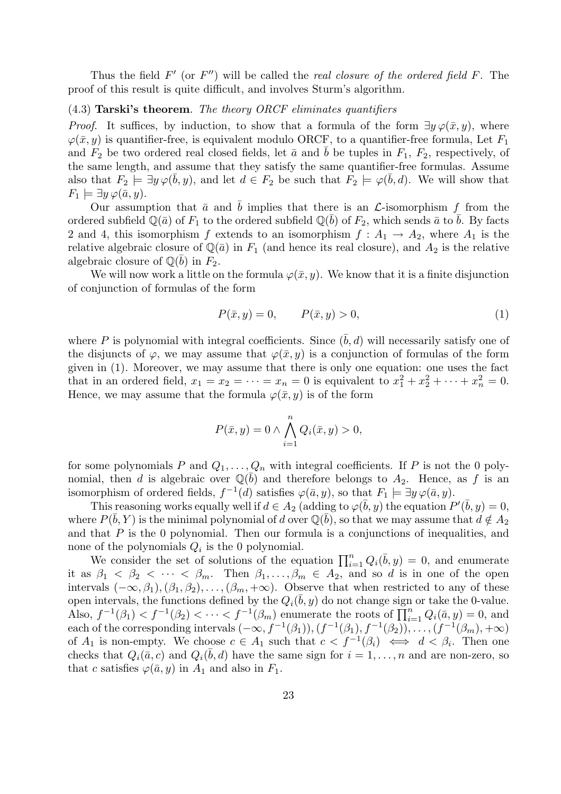Thus the field  $F'$  (or  $F''$ ) will be called the *real closure of the ordered field*  $F$ . The proof of this result is quite difficult, and involves Sturm's algorithm.

# (4.3) Tarski's theorem. The theory ORCF eliminates quantifiers

*Proof.* It suffices, by induction, to show that a formula of the form  $\exists y \varphi(\bar{x}, y)$ , where  $\varphi(\bar{x}, y)$  is quantifier-free, is equivalent modulo ORCF, to a quantifier-free formula, Let  $F_1$ and  $F_2$  be two ordered real closed fields, let  $\bar{a}$  and  $\bar{b}$  be tuples in  $F_1$ ,  $F_2$ , respectively, of the same length, and assume that they satisfy the same quantifier-free formulas. Assume also that  $F_2 \models \exists y \varphi(\bar{b}, y)$ , and let  $d \in F_2$  be such that  $F_2 \models \varphi(\bar{b}, d)$ . We will show that  $F_1 \models \exists y \, \varphi(\bar{a}, y).$ 

Our assumption that  $\bar{a}$  and  $\bar{b}$  implies that there is an  $\mathcal{L}$ -isomorphism f from the ordered subfield  $\mathbb{Q}(\bar{a})$  of  $F_1$  to the ordered subfield  $\mathbb{Q}(\bar{b})$  of  $F_2$ , which sends  $\bar{a}$  to  $\bar{b}$ . By facts 2 and 4, this isomorphism f extends to an isomorphism  $f : A_1 \rightarrow A_2$ , where  $A_1$  is the relative algebraic closure of  $\mathbb{Q}(\bar{a})$  in  $F_1$  (and hence its real closure), and  $A_2$  is the relative algebraic closure of  $\mathbb{Q}(\bar{b})$  in  $F_2$ .

We will now work a little on the formula  $\varphi(\bar{x}, y)$ . We know that it is a finite disjunction of conjunction of formulas of the form

$$
P(\bar{x}, y) = 0, \qquad P(\bar{x}, y) > 0,\tag{1}
$$

where P is polynomial with integral coefficients. Since  $(\bar{b}, d)$  will necessarily satisfy one of the disjuncts of  $\varphi$ , we may assume that  $\varphi(\bar{x}, y)$  is a conjunction of formulas of the form given in (1). Moreover, we may assume that there is only one equation: one uses the fact that in an ordered field,  $x_1 = x_2 = \cdots = x_n = 0$  is equivalent to  $x_1^2 + x_2^2 + \cdots + x_n^2 = 0$ . Hence, we may assume that the formula  $\varphi(\bar{x}, y)$  is of the form

$$
P(\bar{x}, y) = 0 \wedge \bigwedge_{i=1}^{n} Q_i(\bar{x}, y) > 0,
$$

for some polynomials P and  $Q_1, \ldots, Q_n$  with integral coefficients. If P is not the 0 polynomial, then d is algebraic over  $\mathbb{Q}(\bar{b})$  and therefore belongs to  $A_2$ . Hence, as f is an isomorphism of ordered fields,  $f^{-1}(d)$  satisfies  $\varphi(\bar{a}, y)$ , so that  $F_1 \models \exists y \, \varphi(\bar{a}, y)$ .

This reasoning works equally well if  $d \in A_2$  (adding to  $\varphi(\bar{b}, y)$  the equation  $P'(\bar{b}, y) = 0$ , where  $P(\bar{b}, Y)$  is the minimal polynomial of d over  $\mathbb{Q}(\bar{b})$ , so that we may assume that  $d \notin A_2$ and that  $P$  is the 0 polynomial. Then our formula is a conjunctions of inequalities, and none of the polynomials  $Q_i$  is the 0 polynomial.

We consider the set of solutions of the equation  $\prod_{i=1}^{n} Q_i(\bar{b}, y) = 0$ , and enumerate it as  $\beta_1 < \beta_2 < \cdots < \beta_m$ . Then  $\beta_1, \ldots, \beta_m \in A_2$ , and so d is in one of the open intervals  $(-\infty, \beta_1), (\beta_1, \beta_2), \ldots, (\beta_m, +\infty)$ . Observe that when restricted to any of these open intervals, the functions defined by the  $Q_i(\bar{b}, y)$  do not change sign or take the 0-value. Also,  $f^{-1}(\beta_1) < f^{-1}(\beta_2) < \cdots < f^{-1}(\beta_m)$  enumerate the roots of  $\prod_{i=1}^n Q_i(\bar{a}, y) = 0$ , and each of the corresponding intervals  $(-\infty, f^{-1}(\beta_1)),(f^{-1}(\beta_1), f^{-1}(\beta_2)), \ldots, (f^{-1}(\beta_m), +\infty)$ of  $A_1$  is non-empty. We choose  $c \in A_1$  such that  $c < f^{-1}(\beta_i) \iff d < \beta_i$ . Then one checks that  $Q_i(\bar{a}, c)$  and  $Q_i(\bar{b}, d)$  have the same sign for  $i = 1, \ldots, n$  and are non-zero, so that c satisfies  $\varphi(\bar{a}, y)$  in  $A_1$  and also in  $F_1$ .